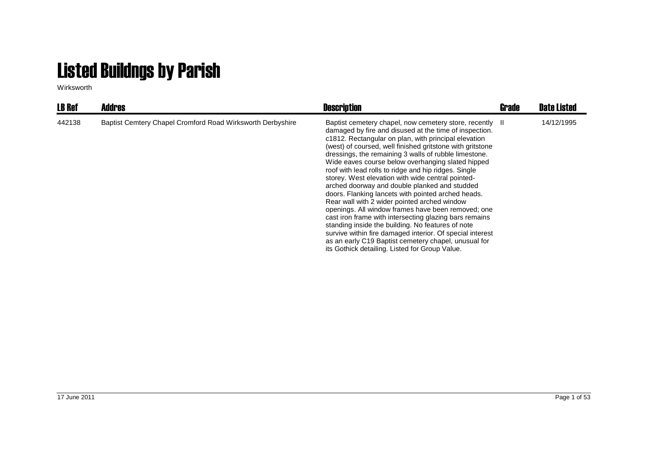## Listed Buildngs by Parish

Wirksworth

| <b>LB Ref</b> | <b>Addres</b>                                              | <b>Description</b>                                                                                                                                                                                                                                                                                                                                                                                                                                                                                                                                                                                                                                                                                                                                                                                                                                                                                                                                                    | Grade | <b>Date Listed</b> |
|---------------|------------------------------------------------------------|-----------------------------------------------------------------------------------------------------------------------------------------------------------------------------------------------------------------------------------------------------------------------------------------------------------------------------------------------------------------------------------------------------------------------------------------------------------------------------------------------------------------------------------------------------------------------------------------------------------------------------------------------------------------------------------------------------------------------------------------------------------------------------------------------------------------------------------------------------------------------------------------------------------------------------------------------------------------------|-------|--------------------|
| 442138        | Baptist Cemtery Chapel Cromford Road Wirksworth Derbyshire | Baptist cemetery chapel, now cemetery store, recently II<br>damaged by fire and disused at the time of inspection.<br>c1812. Rectangular on plan, with principal elevation<br>(west) of coursed, well finished gritstone with gritstone<br>dressings, the remaining 3 walls of rubble limestone.<br>Wide eaves course below overhanging slated hipped<br>roof with lead rolls to ridge and hip ridges. Single<br>storey. West elevation with wide central pointed-<br>arched doorway and double planked and studded<br>doors. Flanking lancets with pointed arched heads.<br>Rear wall with 2 wider pointed arched window<br>openings. All window frames have been removed; one<br>cast iron frame with intersecting glazing bars remains<br>standing inside the building. No features of note<br>survive within fire damaged interior. Of special interest<br>as an early C19 Baptist cemetery chapel, unusual for<br>its Gothick detailing. Listed for Group Value. |       | 14/12/1995         |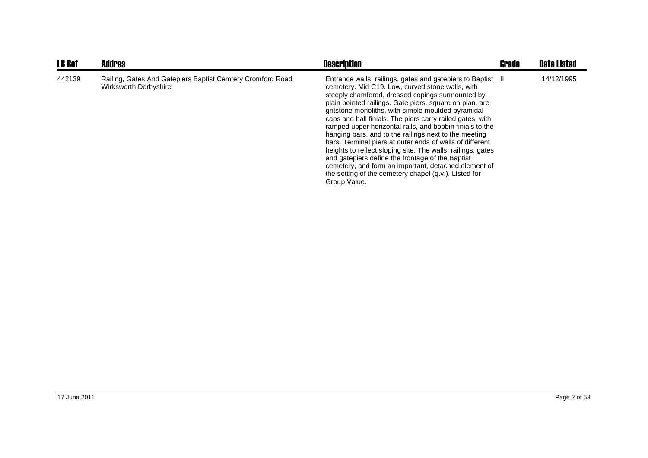| <b>LB Ref</b> | <b>Addres</b>                                                                       | <b>Description</b>                                                                                                                                                                                                                                                                                                                                                                                                                                                                                                                                                                                                                                                                                                                                                                     | Grade | <b>Date Listed</b> |
|---------------|-------------------------------------------------------------------------------------|----------------------------------------------------------------------------------------------------------------------------------------------------------------------------------------------------------------------------------------------------------------------------------------------------------------------------------------------------------------------------------------------------------------------------------------------------------------------------------------------------------------------------------------------------------------------------------------------------------------------------------------------------------------------------------------------------------------------------------------------------------------------------------------|-------|--------------------|
| 442139        | Railing, Gates And Gatepiers Baptist Cemtery Cromford Road<br>Wirksworth Derbyshire | Entrance walls, railings, gates and gatepiers to Baptist II<br>cemetery. Mid C19. Low, curved stone walls, with<br>steeply chamfered, dressed copings surmounted by<br>plain pointed railings. Gate piers, square on plan, are<br>gritstone monoliths, with simple moulded pyramidal<br>caps and ball finials. The piers carry railed gates, with<br>ramped upper horizontal rails, and bobbin finials to the<br>hanging bars, and to the railings next to the meeting<br>bars. Terminal piers at outer ends of walls of different<br>heights to reflect sloping site. The walls, railings, gates<br>and gatepiers define the frontage of the Baptist<br>cemetery, and form an important, detached element of<br>the setting of the cemetery chapel (q.v.). Listed for<br>Group Value. |       | 14/12/1995         |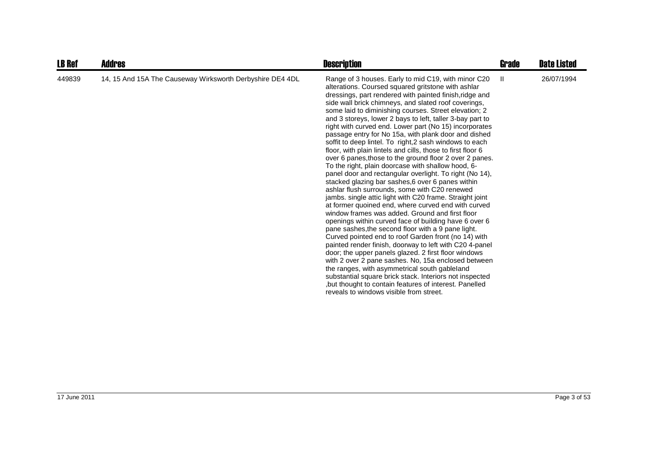| <b>LB Ref</b> | <b>Addres</b>                                             | <b>Description</b>                                                                                                                                                                                                                                                                                                                                                                                                                                                                                                                                                                                                                                                                                                                                                                                                                                                                                                                                                                                                                                                                                                                                                                                                                                                                                                                                                                                                                                                                                                                                                                                                     | Grade        | <b>Date Listed</b> |
|---------------|-----------------------------------------------------------|------------------------------------------------------------------------------------------------------------------------------------------------------------------------------------------------------------------------------------------------------------------------------------------------------------------------------------------------------------------------------------------------------------------------------------------------------------------------------------------------------------------------------------------------------------------------------------------------------------------------------------------------------------------------------------------------------------------------------------------------------------------------------------------------------------------------------------------------------------------------------------------------------------------------------------------------------------------------------------------------------------------------------------------------------------------------------------------------------------------------------------------------------------------------------------------------------------------------------------------------------------------------------------------------------------------------------------------------------------------------------------------------------------------------------------------------------------------------------------------------------------------------------------------------------------------------------------------------------------------------|--------------|--------------------|
| 449839        | 14, 15 And 15A The Causeway Wirksworth Derbyshire DE4 4DL | Range of 3 houses. Early to mid C19, with minor C20<br>alterations. Coursed squared gritstone with ashlar<br>dressings, part rendered with painted finish, ridge and<br>side wall brick chimneys, and slated roof coverings,<br>some laid to diminishing courses. Street elevation; 2<br>and 3 storeys, lower 2 bays to left, taller 3-bay part to<br>right with curved end. Lower part (No 15) incorporates<br>passage entry for No 15a, with plank door and dished<br>soffit to deep lintel. To right,2 sash windows to each<br>floor, with plain lintels and cills, those to first floor 6<br>over 6 panes, those to the ground floor 2 over 2 panes.<br>To the right, plain doorcase with shallow hood, 6-<br>panel door and rectangular overlight. To right (No 14),<br>stacked glazing bar sashes, 6 over 6 panes within<br>ashlar flush surrounds, some with C20 renewed<br>jambs. single attic light with C20 frame. Straight joint<br>at former quoined end, where curved end with curved<br>window frames was added. Ground and first floor<br>openings within curved face of building have 6 over 6<br>pane sashes, the second floor with a 9 pane light.<br>Curved pointed end to roof Garden front (no 14) with<br>painted render finish, doorway to left with C20 4-panel<br>door; the upper panels glazed. 2 first floor windows<br>with 2 over 2 pane sashes. No, 15a enclosed between<br>the ranges, with asymmetrical south gableland<br>substantial square brick stack. Interiors not inspected<br>but thought to contain features of interest. Panelled<br>reveals to windows visible from street. | $\mathbf{H}$ | 26/07/1994         |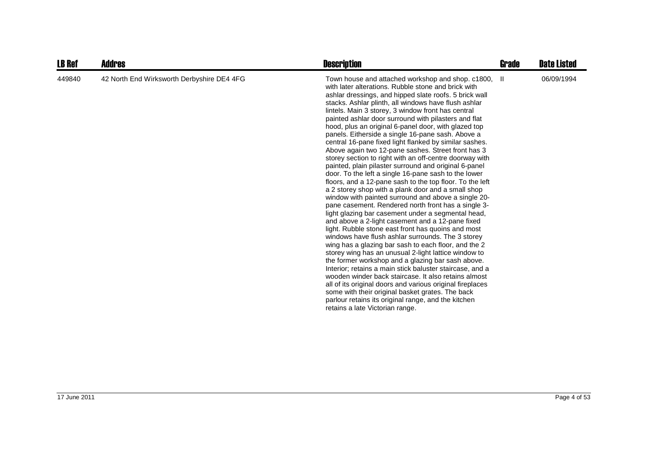| <b>LB Ref</b> | <b>Addres</b>                              | <b>Description</b>                                                                                                                                                                                                                                                                                                                                                                                                                                                                                                                                                                                                                                                                                                                                                                                                                                                                                                                                                                                                                                                                                                                                                                                                                                                                                                                                                                                                                                                                                                                                                                                                                                                                                         | Grade | <b>Date Listed</b> |
|---------------|--------------------------------------------|------------------------------------------------------------------------------------------------------------------------------------------------------------------------------------------------------------------------------------------------------------------------------------------------------------------------------------------------------------------------------------------------------------------------------------------------------------------------------------------------------------------------------------------------------------------------------------------------------------------------------------------------------------------------------------------------------------------------------------------------------------------------------------------------------------------------------------------------------------------------------------------------------------------------------------------------------------------------------------------------------------------------------------------------------------------------------------------------------------------------------------------------------------------------------------------------------------------------------------------------------------------------------------------------------------------------------------------------------------------------------------------------------------------------------------------------------------------------------------------------------------------------------------------------------------------------------------------------------------------------------------------------------------------------------------------------------------|-------|--------------------|
| 449840        | 42 North End Wirksworth Derbyshire DE4 4FG | Town house and attached workshop and shop. c1800,<br>with later alterations. Rubble stone and brick with<br>ashlar dressings, and hipped slate roofs. 5 brick wall<br>stacks. Ashlar plinth, all windows have flush ashlar<br>lintels. Main 3 storey, 3 window front has central<br>painted ashlar door surround with pilasters and flat<br>hood, plus an original 6-panel door, with glazed top<br>panels. Eitherside a single 16-pane sash. Above a<br>central 16-pane fixed light flanked by similar sashes.<br>Above again two 12-pane sashes. Street front has 3<br>storey section to right with an off-centre doorway with<br>painted, plain pilaster surround and original 6-panel<br>door. To the left a single 16-pane sash to the lower<br>floors, and a 12-pane sash to the top floor. To the left<br>a 2 storey shop with a plank door and a small shop<br>window with painted surround and above a single 20-<br>pane casement. Rendered north front has a single 3-<br>light glazing bar casement under a segmental head,<br>and above a 2-light casement and a 12-pane fixed<br>light. Rubble stone east front has quoins and most<br>windows have flush ashlar surrounds. The 3 storey<br>wing has a glazing bar sash to each floor, and the 2<br>storey wing has an unusual 2-light lattice window to<br>the former workshop and a glazing bar sash above.<br>Interior; retains a main stick baluster staircase, and a<br>wooden winder back staircase. It also retains almost<br>all of its original doors and various original fireplaces<br>some with their original basket grates. The back<br>parlour retains its original range, and the kitchen<br>retains a late Victorian range. | -H.   | 06/09/1994         |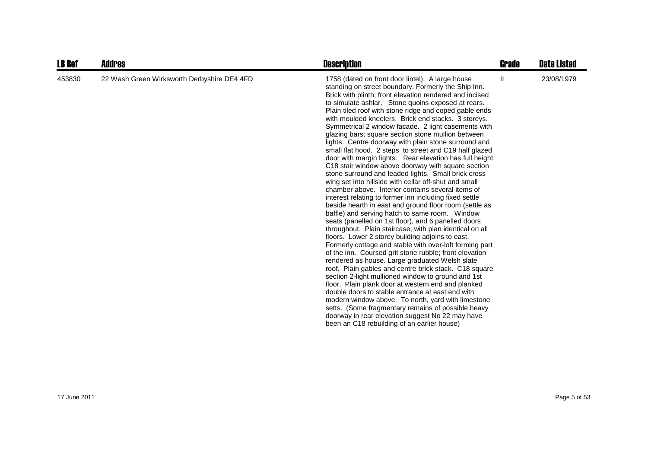| <b>LB Ref</b> | <b>Addres</b>                               | <b>Description</b>                                                                                                                                                                                                                                                                                                                                                                                                                                                                                                                                                                                                                                                                                                                                                                                                                                                                                                                                                                                                                                                                                                                                                                                                                                                                                                                                                                                                                                                                                                                                                                                                                                                                                                                                                                                                        | Grade | <b>Date Listed</b> |
|---------------|---------------------------------------------|---------------------------------------------------------------------------------------------------------------------------------------------------------------------------------------------------------------------------------------------------------------------------------------------------------------------------------------------------------------------------------------------------------------------------------------------------------------------------------------------------------------------------------------------------------------------------------------------------------------------------------------------------------------------------------------------------------------------------------------------------------------------------------------------------------------------------------------------------------------------------------------------------------------------------------------------------------------------------------------------------------------------------------------------------------------------------------------------------------------------------------------------------------------------------------------------------------------------------------------------------------------------------------------------------------------------------------------------------------------------------------------------------------------------------------------------------------------------------------------------------------------------------------------------------------------------------------------------------------------------------------------------------------------------------------------------------------------------------------------------------------------------------------------------------------------------------|-------|--------------------|
| 453830        | 22 Wash Green Wirksworth Derbyshire DE4 4FD | 1758 (dated on front door lintel). A large house<br>standing on street boundary. Formerly the Ship Inn.<br>Brick with plinth; front elevation rendered and incised<br>to simulate ashlar. Stone quoins exposed at rears.<br>Plain tiled roof with stone ridge and coped gable ends<br>with moulded kneelers. Brick end stacks. 3 storeys.<br>Symmetrical 2 window facade. 2 light casements with<br>glazing bars; square section stone mullion between<br>lights. Centre doorway with plain stone surround and<br>small flat hood. 2 steps to street and C19 half glazed<br>door with margin lights. Rear elevation has full height<br>C18 stair window above doorway with square section<br>stone surround and leaded lights. Small brick cross<br>wing set into hillside with cellar off-shut and small<br>chamber above. Interior contains several items of<br>interest relating to former inn including fixed settle<br>beside hearth in east and ground floor room (settle as<br>baffle) and serving hatch to same room. Window<br>seats (panelled on 1st floor), and 6 panelled doors<br>throughout. Plain staircase; with plan identical on all<br>floors. Lower 2 storey building adjoins to east.<br>Formerly cottage and stable with over-loft forming part<br>of the inn. Coursed grit stone rubble; front elevation<br>rendered as house. Large graduated Welsh slate<br>roof. Plain gables and centre brick stack. C18 square<br>section 2-light mullioned window to ground and 1st<br>floor. Plain plank door at western end and planked<br>double doors to stable entrance at east end with<br>modern window above. To north, yard with limestone<br>setts. (Some fragmentary remains of possible heavy<br>doorway in rear elevation suggest No 22 may have<br>been an C18 rebuilding of an earlier house) | Ш     | 23/08/1979         |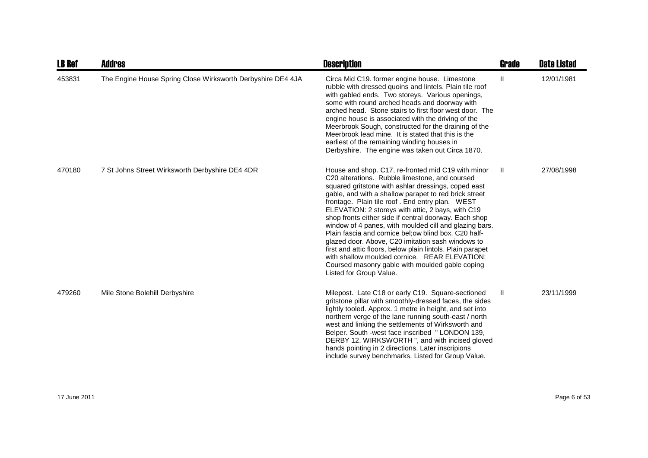| <b>LB Ref</b> | Addres                                                      | <b>Description</b>                                                                                                                                                                                                                                                                                                                                                                                                                                                                                                                                                                                                                                                                                                                                         | <b>Grade</b> | <b>Date Listed</b> |
|---------------|-------------------------------------------------------------|------------------------------------------------------------------------------------------------------------------------------------------------------------------------------------------------------------------------------------------------------------------------------------------------------------------------------------------------------------------------------------------------------------------------------------------------------------------------------------------------------------------------------------------------------------------------------------------------------------------------------------------------------------------------------------------------------------------------------------------------------------|--------------|--------------------|
| 453831        | The Engine House Spring Close Wirksworth Derbyshire DE4 4JA | Circa Mid C19. former engine house. Limestone<br>rubble with dressed quoins and lintels. Plain tile roof<br>with gabled ends. Two storeys. Various openings,<br>some with round arched heads and doorway with<br>arched head. Stone stairs to first floor west door. The<br>engine house is associated with the driving of the<br>Meerbrook Sough, constructed for the draining of the<br>Meerbrook lead mine. It is stated that this is the<br>earliest of the remaining winding houses in<br>Derbyshire. The engine was taken out Circa 1870.                                                                                                                                                                                                            | Ш            | 12/01/1981         |
| 470180        | 7 St Johns Street Wirksworth Derbyshire DE4 4DR             | House and shop. C17, re-fronted mid C19 with minor<br>C20 alterations. Rubble limestone, and coursed<br>squared gritstone with ashlar dressings, coped east<br>gable, and with a shallow parapet to red brick street<br>frontage. Plain tile roof. End entry plan. WEST<br>ELEVATION: 2 storeys with attic, 2 bays, with C19<br>shop fronts either side if central doorway. Each shop<br>window of 4 panes, with moulded cill and glazing bars.<br>Plain fascia and cornice bel; ow blind box. C20 half-<br>glazed door. Above, C20 imitation sash windows to<br>first and attic floors, below plain lintols. Plain parapet<br>with shallow moulded cornice. REAR ELEVATION:<br>Coursed masonry gable with moulded gable coping<br>Listed for Group Value. | H.           | 27/08/1998         |
| 479260        | Mile Stone Bolehill Derbyshire                              | Milepost. Late C18 or early C19. Square-sectioned<br>gritstone pillar with smoothly-dressed faces, the sides<br>lightly tooled. Approx. 1 metre in height, and set into<br>northern verge of the lane running south-east / north<br>west and linking the settlements of Wirksworth and<br>Belper. South -west face inscribed " LONDON 139,<br>DERBY 12, WIRKSWORTH ", and with incised gloved<br>hands pointing in 2 directions. Later inscripions<br>include survey benchmarks. Listed for Group Value.                                                                                                                                                                                                                                                   | Ш            | 23/11/1999         |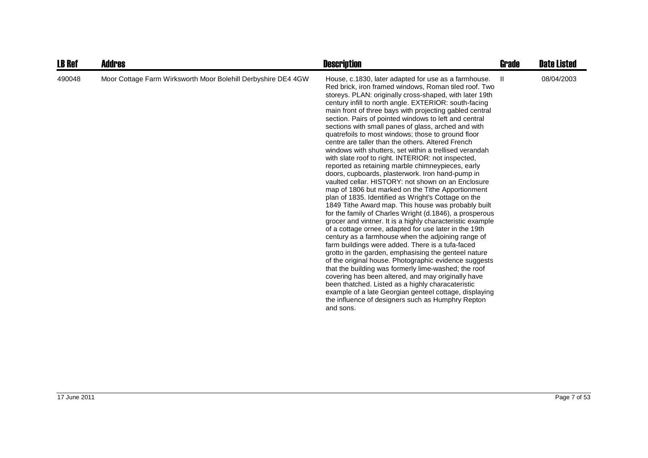| <b>LB Ref</b> | <b>Addres</b>                                                 | <b>Description</b>                                                                                                                                                                                                                                                                                                                                                                                                                                                                                                                                                                                                                                                                                                                                                                                                                                                                                                                                                                                                                                                                                                                                                                                                                                                                                                                                                                                                                                                                                                                                                                                                                                                                   | Grade | <b>Date Listed</b> |
|---------------|---------------------------------------------------------------|--------------------------------------------------------------------------------------------------------------------------------------------------------------------------------------------------------------------------------------------------------------------------------------------------------------------------------------------------------------------------------------------------------------------------------------------------------------------------------------------------------------------------------------------------------------------------------------------------------------------------------------------------------------------------------------------------------------------------------------------------------------------------------------------------------------------------------------------------------------------------------------------------------------------------------------------------------------------------------------------------------------------------------------------------------------------------------------------------------------------------------------------------------------------------------------------------------------------------------------------------------------------------------------------------------------------------------------------------------------------------------------------------------------------------------------------------------------------------------------------------------------------------------------------------------------------------------------------------------------------------------------------------------------------------------------|-------|--------------------|
| 490048        | Moor Cottage Farm Wirksworth Moor Bolehill Derbyshire DE4 4GW | House, c.1830, later adapted for use as a farmhouse.<br>Red brick, iron framed windows, Roman tiled roof. Two<br>storeys. PLAN: originally cross-shaped, with later 19th<br>century infill to north angle. EXTERIOR: south-facing<br>main front of three bays with projecting gabled central<br>section. Pairs of pointed windows to left and central<br>sections with small panes of glass, arched and with<br>quatrefoils to most windows; those to ground floor<br>centre are taller than the others. Altered French<br>windows with shutters, set within a trellised verandah<br>with slate roof to right. INTERIOR: not inspected,<br>reported as retaining marble chimneypieces, early<br>doors, cupboards, plasterwork. Iron hand-pump in<br>vaulted cellar. HISTORY: not shown on an Enclosure<br>map of 1806 but marked on the Tithe Apportionment<br>plan of 1835. Identified as Wright's Cottage on the<br>1849 Tithe Award map. This house was probably built<br>for the family of Charles Wright (d.1846), a prosperous<br>grocer and vintner. It is a highly characteristic example<br>of a cottage ornee, adapted for use later in the 19th<br>century as a farmhouse when the adjoining range of<br>farm buildings were added. There is a tufa-faced<br>grotto in the garden, emphasising the genteel nature<br>of the original house. Photographic evidence suggests<br>that the building was formerly lime-washed; the roof<br>covering has been altered, and may originally have<br>been thatched. Listed as a highly characateristic<br>example of a late Georgian genteel cottage, displaying<br>the influence of designers such as Humphry Repton<br>and sons. | -II   | 08/04/2003         |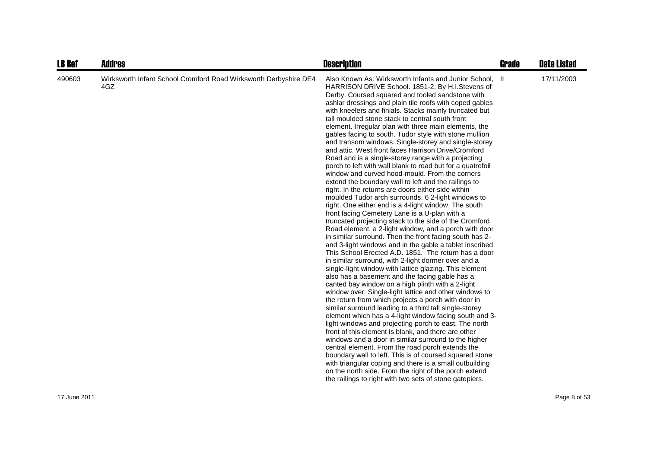| <b>LB Ref</b> | <b>Addres</b>                                                           | <b>Description</b>                                                                                                                                                                                                                                                                                                                                                                                                                                                                                                                                                                                                                                                                                                                                                                                                                                                                                                                                                                                                                                                                                                                                                                                                                                                                                                                                                                                                                                                                                                                                                                                                                                                                                                                                                                                                                                                                                                                                                                                                                                                                                                                                                                                                                                                | <b>Grade</b> | <b>Date Listed</b> |
|---------------|-------------------------------------------------------------------------|-------------------------------------------------------------------------------------------------------------------------------------------------------------------------------------------------------------------------------------------------------------------------------------------------------------------------------------------------------------------------------------------------------------------------------------------------------------------------------------------------------------------------------------------------------------------------------------------------------------------------------------------------------------------------------------------------------------------------------------------------------------------------------------------------------------------------------------------------------------------------------------------------------------------------------------------------------------------------------------------------------------------------------------------------------------------------------------------------------------------------------------------------------------------------------------------------------------------------------------------------------------------------------------------------------------------------------------------------------------------------------------------------------------------------------------------------------------------------------------------------------------------------------------------------------------------------------------------------------------------------------------------------------------------------------------------------------------------------------------------------------------------------------------------------------------------------------------------------------------------------------------------------------------------------------------------------------------------------------------------------------------------------------------------------------------------------------------------------------------------------------------------------------------------------------------------------------------------------------------------------------------------|--------------|--------------------|
| 490603        | Wirksworth Infant School Cromford Road Wirksworth Derbyshire DE4<br>4GZ | Also Known As: Wirksworth Infants and Junior School, II<br>HARRISON DRIVE School. 1851-2. By H.I.Stevens of<br>Derby. Coursed squared and tooled sandstone with<br>ashlar dressings and plain tile roofs with coped gables<br>with kneelers and finials. Stacks mainly truncated but<br>tall moulded stone stack to central south front<br>element. Irregular plan with three main elements, the<br>gables facing to south. Tudor style with stone mullion<br>and transom windows. Single-storey and single-storey<br>and attic. West front faces Harrison Drive/Cromford<br>Road and is a single-storey range with a projecting<br>porch to left with wall blank to road but for a quatrefoil<br>window and curved hood-mould. From the corners<br>extend the boundary wall to left and the railings to<br>right. In the returns are doors either side within<br>moulded Tudor arch surrounds. 6 2-light windows to<br>right. One either end is a 4-light window. The south<br>front facing Cemetery Lane is a U-plan with a<br>truncated projecting stack to the side of the Cromford<br>Road element, a 2-light window, and a porch with door<br>in similar surround. Then the front facing south has 2-<br>and 3-light windows and in the gable a tablet inscribed<br>This School Erected A.D. 1851. The return has a door<br>in similar surround, with 2-light dormer over and a<br>single-light window with lattice glazing. This element<br>also has a basement and the facing gable has a<br>canted bay window on a high plinth with a 2-light<br>window over. Single-light lattice and other windows to<br>the return from which projects a porch with door in<br>similar surround leading to a third tall single-storey<br>element which has a 4-light window facing south and 3-<br>light windows and projecting porch to east. The north<br>front of this element is blank, and there are other<br>windows and a door in similar surround to the higher<br>central element. From the road porch extends the<br>boundary wall to left. This is of coursed squared stone<br>with triangular coping and there is a small outbuilding<br>on the north side. From the right of the porch extend<br>the railings to right with two sets of stone gatepiers. |              | 17/11/2003         |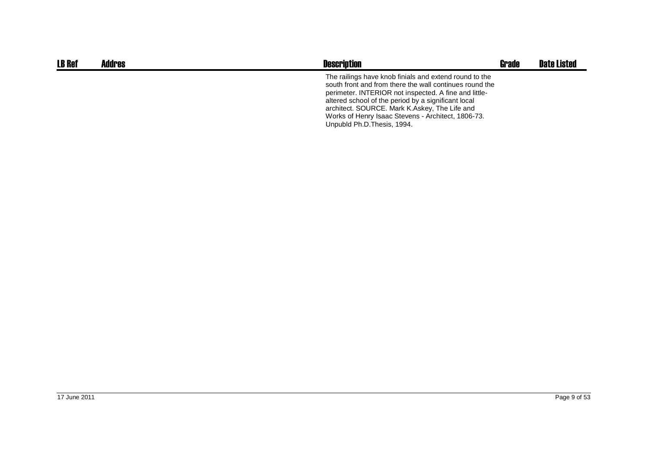| <b>LB Ref</b> | Addres | <b>Description</b>                                                                                                                                                                                                                                                                                                                                                      | <b>Grade</b> | <b>Date Listed</b> |
|---------------|--------|-------------------------------------------------------------------------------------------------------------------------------------------------------------------------------------------------------------------------------------------------------------------------------------------------------------------------------------------------------------------------|--------------|--------------------|
|               |        | The railings have knob finials and extend round to the<br>south front and from there the wall continues round the<br>perimeter. INTERIOR not inspected. A fine and little-<br>altered school of the period by a significant local<br>architect. SOURCE. Mark K.Askey, The Life and<br>Works of Henry Isaac Stevens - Architect, 1806-73.<br>Unpubld Ph.D. Thesis, 1994. |              |                    |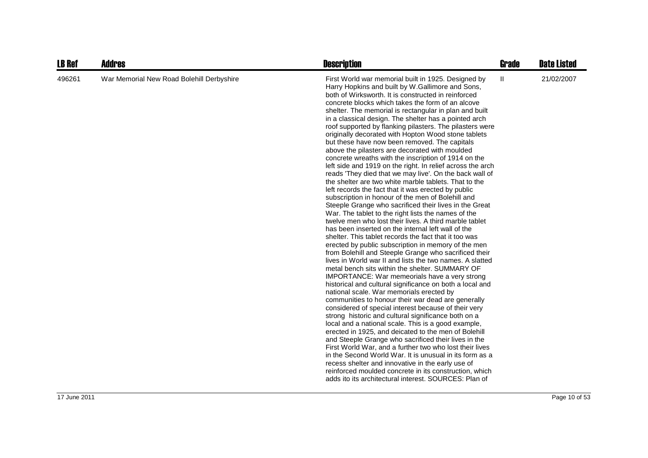| <b>LB Ref</b> | <b>Addres</b>                             | <b>Description</b>                                                                                                                                                                                                                                                                                                                                                                                                                                                                                                                                                                                                                                                                                                                                                                                                                                                                                                                                                                                                                                                                                                                                                                                                                                                                                                                                                                                                                                                                                                                                                                                                                                                                                                                                                                                                                                                                                                                                                                                                                                                                                                                                                                                                                             | <b>Grade</b> | <b>Date Listed</b> |
|---------------|-------------------------------------------|------------------------------------------------------------------------------------------------------------------------------------------------------------------------------------------------------------------------------------------------------------------------------------------------------------------------------------------------------------------------------------------------------------------------------------------------------------------------------------------------------------------------------------------------------------------------------------------------------------------------------------------------------------------------------------------------------------------------------------------------------------------------------------------------------------------------------------------------------------------------------------------------------------------------------------------------------------------------------------------------------------------------------------------------------------------------------------------------------------------------------------------------------------------------------------------------------------------------------------------------------------------------------------------------------------------------------------------------------------------------------------------------------------------------------------------------------------------------------------------------------------------------------------------------------------------------------------------------------------------------------------------------------------------------------------------------------------------------------------------------------------------------------------------------------------------------------------------------------------------------------------------------------------------------------------------------------------------------------------------------------------------------------------------------------------------------------------------------------------------------------------------------------------------------------------------------------------------------------------------------|--------------|--------------------|
| 496261        | War Memorial New Road Bolehill Derbyshire | First World war memorial built in 1925. Designed by<br>Harry Hopkins and built by W.Gallimore and Sons,<br>both of Wirksworth. It is constructed in reinforced<br>concrete blocks which takes the form of an alcove<br>shelter. The memorial is rectangular in plan and built<br>in a classical design. The shelter has a pointed arch<br>roof supported by flanking pilasters. The pilasters were<br>originally decorated with Hopton Wood stone tablets<br>but these have now been removed. The capitals<br>above the pilasters are decorated with moulded<br>concrete wreaths with the inscription of 1914 on the<br>left side and 1919 on the right. In relief across the arch<br>reads 'They died that we may live'. On the back wall of<br>the shelter are two white marble tablets. That to the<br>left records the fact that it was erected by public<br>subscription in honour of the men of Bolehill and<br>Steeple Grange who sacrificed their lives in the Great<br>War. The tablet to the right lists the names of the<br>twelve men who lost their lives. A third marble tablet<br>has been inserted on the internal left wall of the<br>shelter. This tablet records the fact that it too was<br>erected by public subscription in memory of the men<br>from Bolehill and Steeple Grange who sacrificed their<br>lives in World war II and lists the two names. A slatted<br>metal bench sits within the shelter. SUMMARY OF<br>IMPORTANCE: War memeorials have a very strong<br>historical and cultural significance on both a local and<br>national scale. War memorials erected by<br>communities to honour their war dead are generally<br>considered of special interest because of their very<br>strong historic and cultural significance both on a<br>local and a national scale. This is a good example,<br>erected in 1925, and deicated to the men of Bolehill<br>and Steeple Grange who sacrificed their lives in the<br>First World War, and a further two who lost their lives<br>in the Second World War. It is unusual in its form as a<br>recess shelter and innovative in the early use of<br>reinforced moulded concrete in its construction, which<br>adds ito its architectural interest. SOURCES: Plan of | Ш            | 21/02/2007         |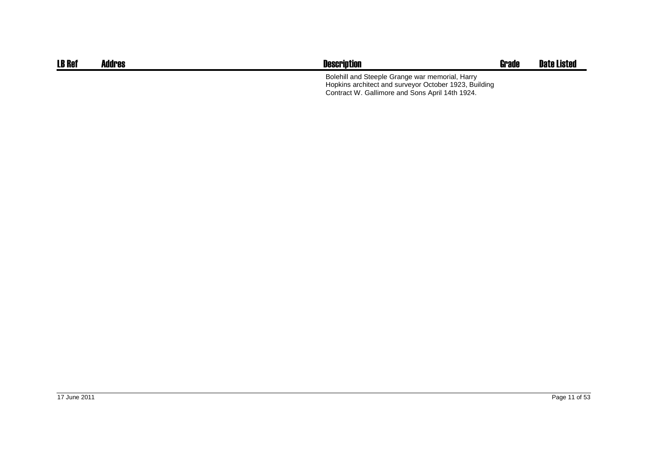| <b>LB Ref</b> | Addres | <b>Description</b>                                                                                                                                          | Grade | Date Listed |
|---------------|--------|-------------------------------------------------------------------------------------------------------------------------------------------------------------|-------|-------------|
|               |        | Bolehill and Steeple Grange war memorial, Harry<br>Hopkins architect and surveyor October 1923, Building<br>Contract W. Gallimore and Sons April 14th 1924. |       |             |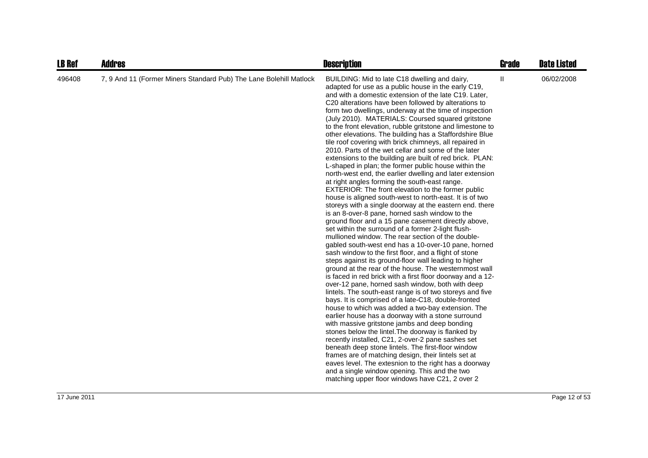| <b>LB Ref</b> | <b>Addres</b>                                                      | <b>Description</b>                                                                                                                                                                                                                                                                                                                                                                                                                                                                                                                                                                                                                                                                                                                                                                                                                                                                                                                                                                                                                                                                                                                                                                                                                                                                                                                                                                                                                                                                                                                                                                                                                                                                                                                                                                                                                                                                                                                                                                                                                                                                                                                                                                                                                     | Grade       | <b>Date Listed</b> |
|---------------|--------------------------------------------------------------------|----------------------------------------------------------------------------------------------------------------------------------------------------------------------------------------------------------------------------------------------------------------------------------------------------------------------------------------------------------------------------------------------------------------------------------------------------------------------------------------------------------------------------------------------------------------------------------------------------------------------------------------------------------------------------------------------------------------------------------------------------------------------------------------------------------------------------------------------------------------------------------------------------------------------------------------------------------------------------------------------------------------------------------------------------------------------------------------------------------------------------------------------------------------------------------------------------------------------------------------------------------------------------------------------------------------------------------------------------------------------------------------------------------------------------------------------------------------------------------------------------------------------------------------------------------------------------------------------------------------------------------------------------------------------------------------------------------------------------------------------------------------------------------------------------------------------------------------------------------------------------------------------------------------------------------------------------------------------------------------------------------------------------------------------------------------------------------------------------------------------------------------------------------------------------------------------------------------------------------------|-------------|--------------------|
| 496408        | 7, 9 And 11 (Former Miners Standard Pub) The Lane Bolehill Matlock | BUILDING: Mid to late C18 dwelling and dairy,<br>adapted for use as a public house in the early C19,<br>and with a domestic extension of the late C19. Later,<br>C20 alterations have been followed by alterations to<br>form two dwellings, underway at the time of inspection<br>(July 2010). MATERIALS: Coursed squared gritstone<br>to the front elevation, rubble gritstone and limestone to<br>other elevations. The building has a Staffordshire Blue<br>tile roof covering with brick chimneys, all repaired in<br>2010. Parts of the wet cellar and some of the later<br>extensions to the building are built of red brick. PLAN:<br>L-shaped in plan; the former public house within the<br>north-west end, the earlier dwelling and later extension<br>at right angles forming the south-east range.<br>EXTERIOR: The front elevation to the former public<br>house is aligned south-west to north-east. It is of two<br>storeys with a single doorway at the eastern end. there<br>is an 8-over-8 pane, horned sash window to the<br>ground floor and a 15 pane casement directly above,<br>set within the surround of a former 2-light flush-<br>mullioned window. The rear section of the double-<br>gabled south-west end has a 10-over-10 pane, horned<br>sash window to the first floor, and a flight of stone<br>steps against its ground-floor wall leading to higher<br>ground at the rear of the house. The westernmost wall<br>is faced in red brick with a first floor doorway and a 12-<br>over-12 pane, horned sash window, both with deep<br>lintels. The south-east range is of two storeys and five<br>bays. It is comprised of a late-C18, double-fronted<br>house to which was added a two-bay extension. The<br>earlier house has a doorway with a stone surround<br>with massive gritstone jambs and deep bonding<br>stones below the lintel. The doorway is flanked by<br>recently installed, C21, 2-over-2 pane sashes set<br>beneath deep stone lintels. The first-floor window<br>frames are of matching design, their lintels set at<br>eaves level. The extesnion to the right has a doorway<br>and a single window opening. This and the two<br>matching upper floor windows have C21, 2 over 2 | $\mathbf l$ | 06/02/2008         |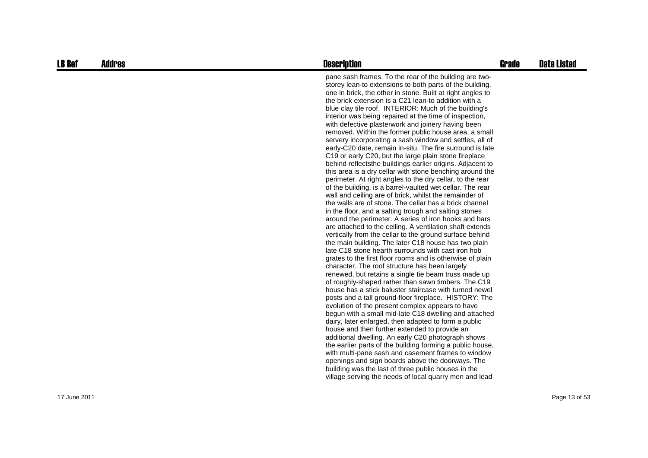| <b>LB Ref</b> | <b>Addres</b> | <b>Description</b>                                                                                                                                                                                                                                                                                                                                                                                                                                                                                                                                                                                                                                                                                                                                                                                                                                                                                                                                                                                                                                                                                                                                                                                                                                                                                                                                                                                                                                                                                                                                                                                                                                                                                                                                                                                                                                                                                                                                                                                                                                                                                                                                                                                                                                                                                              | <b>Grade</b> | <b>Date Listed</b> |
|---------------|---------------|-----------------------------------------------------------------------------------------------------------------------------------------------------------------------------------------------------------------------------------------------------------------------------------------------------------------------------------------------------------------------------------------------------------------------------------------------------------------------------------------------------------------------------------------------------------------------------------------------------------------------------------------------------------------------------------------------------------------------------------------------------------------------------------------------------------------------------------------------------------------------------------------------------------------------------------------------------------------------------------------------------------------------------------------------------------------------------------------------------------------------------------------------------------------------------------------------------------------------------------------------------------------------------------------------------------------------------------------------------------------------------------------------------------------------------------------------------------------------------------------------------------------------------------------------------------------------------------------------------------------------------------------------------------------------------------------------------------------------------------------------------------------------------------------------------------------------------------------------------------------------------------------------------------------------------------------------------------------------------------------------------------------------------------------------------------------------------------------------------------------------------------------------------------------------------------------------------------------------------------------------------------------------------------------------------------------|--------------|--------------------|
|               |               | pane sash frames. To the rear of the building are two-<br>storey lean-to extensions to both parts of the building,<br>one in brick, the other in stone. Built at right angles to<br>the brick extension is a C21 lean-to addition with a<br>blue clay tile roof. INTERIOR: Much of the building's<br>interior was being repaired at the time of inspection,<br>with defective plasterwork and joinery having been<br>removed. Within the former public house area, a small<br>servery incorporating a sash window and settles, all of<br>early-C20 date, remain in-situ. The fire surround is late<br>C19 or early C20, but the large plain stone fireplace<br>behind reflects the buildings earlier origins. Adjacent to<br>this area is a dry cellar with stone benching around the<br>perimeter. At right angles to the dry cellar, to the rear<br>of the building, is a barrel-vaulted wet cellar. The rear<br>wall and ceiling are of brick, whilst the remainder of<br>the walls are of stone. The cellar has a brick channel<br>in the floor, and a salting trough and salting stones<br>around the perimeter. A series of iron hooks and bars<br>are attached to the ceiling. A ventilation shaft extends<br>vertically from the cellar to the ground surface behind<br>the main building. The later C18 house has two plain<br>late C18 stone hearth surrounds with cast iron hob<br>grates to the first floor rooms and is otherwise of plain<br>character. The roof structure has been largely<br>renewed, but retains a single tie beam truss made up<br>of roughly-shaped rather than sawn timbers. The C19<br>house has a stick baluster staircase with turned newel<br>posts and a tall ground-floor fireplace. HISTORY: The<br>evolution of the present complex appears to have<br>begun with a small mid-late C18 dwelling and attached<br>dairy, later enlarged, then adapted to form a public<br>house and then further extended to provide an<br>additional dwelling. An early C20 photograph shows<br>the earlier parts of the building forming a public house,<br>with multi-pane sash and casement frames to window<br>openings and sign boards above the doorways. The<br>building was the last of three public houses in the<br>village serving the needs of local quarry men and lead |              |                    |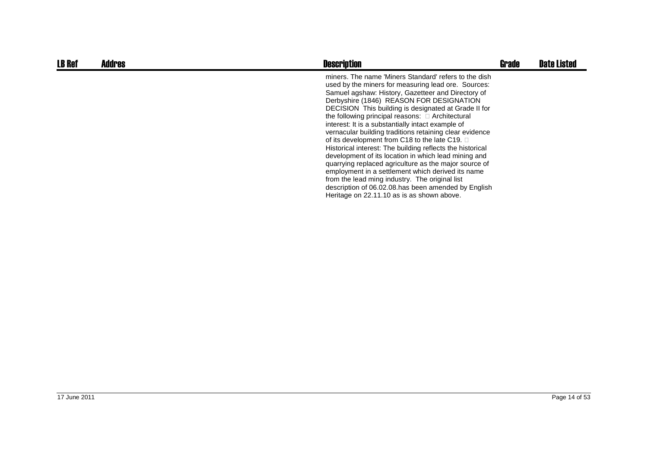| <b>LB Ref</b> | <b>Addres</b> | <b>Description</b>                                                                                                                                                                                                                                                                                                                                                                                                                                                                                                                                                                                                                                                                                                                                                                                                                                                                 | <b>Grade</b> | <b>Date Listed</b> |
|---------------|---------------|------------------------------------------------------------------------------------------------------------------------------------------------------------------------------------------------------------------------------------------------------------------------------------------------------------------------------------------------------------------------------------------------------------------------------------------------------------------------------------------------------------------------------------------------------------------------------------------------------------------------------------------------------------------------------------------------------------------------------------------------------------------------------------------------------------------------------------------------------------------------------------|--------------|--------------------|
|               |               | miners. The name 'Miners Standard' refers to the dish<br>used by the miners for measuring lead ore. Sources:<br>Samuel agshaw: History, Gazetteer and Directory of<br>Derbyshire (1846) REASON FOR DESIGNATION<br>DECISION This building is designated at Grade II for<br>the following principal reasons: Architectural<br>interest: It is a substantially intact example of<br>vernacular building traditions retaining clear evidence<br>of its development from C18 to the late C19.<br>Historical interest: The building reflects the historical<br>development of its location in which lead mining and<br>quarrying replaced agriculture as the major source of<br>employment in a settlement which derived its name<br>from the lead ming industry. The original list<br>description of 06.02.08 has been amended by English<br>Heritage on 22.11.10 as is as shown above. |              |                    |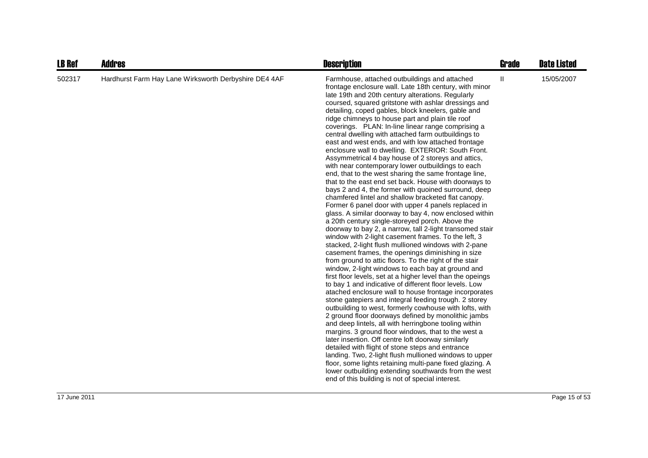| <b>LB Ref</b> | Addres                                                | <b>Description</b>                                                                                                                                                                                                                                                                                                                                                                                                                                                                                                                                                                                                                                                                                                                                                                                                                                                                                                                                                                                                                                                                                                                                                                                                                                                                                                                                                                                                                                                                                                                                                                                                                                                                                                                                                                                                                                                                                                                                                                                                                                                                                                                                                                                                                             | <b>Grade</b> | <b>Date Listed</b> |
|---------------|-------------------------------------------------------|------------------------------------------------------------------------------------------------------------------------------------------------------------------------------------------------------------------------------------------------------------------------------------------------------------------------------------------------------------------------------------------------------------------------------------------------------------------------------------------------------------------------------------------------------------------------------------------------------------------------------------------------------------------------------------------------------------------------------------------------------------------------------------------------------------------------------------------------------------------------------------------------------------------------------------------------------------------------------------------------------------------------------------------------------------------------------------------------------------------------------------------------------------------------------------------------------------------------------------------------------------------------------------------------------------------------------------------------------------------------------------------------------------------------------------------------------------------------------------------------------------------------------------------------------------------------------------------------------------------------------------------------------------------------------------------------------------------------------------------------------------------------------------------------------------------------------------------------------------------------------------------------------------------------------------------------------------------------------------------------------------------------------------------------------------------------------------------------------------------------------------------------------------------------------------------------------------------------------------------------|--------------|--------------------|
| 502317        | Hardhurst Farm Hay Lane Wirksworth Derbyshire DE4 4AF | Farmhouse, attached outbuildings and attached<br>frontage enclosure wall. Late 18th century, with minor<br>late 19th and 20th century alterations. Regularly<br>coursed, squared gritstone with ashlar dressings and<br>detailing, coped gables, block kneelers, gable and<br>ridge chimneys to house part and plain tile roof<br>coverings. PLAN: In-line linear range comprising a<br>central dwelling with attached farm outbuildings to<br>east and west ends, and with low attached frontage<br>enclosure wall to dwelling. EXTERIOR: South Front.<br>Assymmetrical 4 bay house of 2 storeys and attics,<br>with near contemporary lower outbuildings to each<br>end, that to the west sharing the same frontage line,<br>that to the east end set back. House with doorways to<br>bays 2 and 4, the former with quoined surround, deep<br>chamfered lintel and shallow bracketed flat canopy.<br>Former 6 panel door with upper 4 panels replaced in<br>glass. A similar doorway to bay 4, now enclosed within<br>a 20th century single-storeyed porch. Above the<br>doorway to bay 2, a narrow, tall 2-light transomed stair<br>window with 2-light casement frames. To the left, 3<br>stacked, 2-light flush mullioned windows with 2-pane<br>casement frames, the openings diminishing in size<br>from ground to attic floors. To the right of the stair<br>window, 2-light windows to each bay at ground and<br>first floor levels, set at a higher level than the opeings<br>to bay 1 and indicative of different floor levels. Low<br>atached enclosure wall to house frontage incorporates<br>stone gatepiers and integral feeding trough. 2 storey<br>outbuilding to west, formerly cowhouse with lofts, with<br>2 ground floor doorways defined by monolithic jambs<br>and deep lintels, all with herringbone tooling within<br>margins. 3 ground floor windows, that to the west a<br>later insertion. Off centre loft doorway similarly<br>detailed with flight of stone steps and entrance<br>landing. Two, 2-light flush mullioned windows to upper<br>floor, some lights retaining multi-pane fixed glazing. A<br>lower outbuilding extending southwards from the west<br>end of this building is not of special interest. | $\mathbf{H}$ | 15/05/2007         |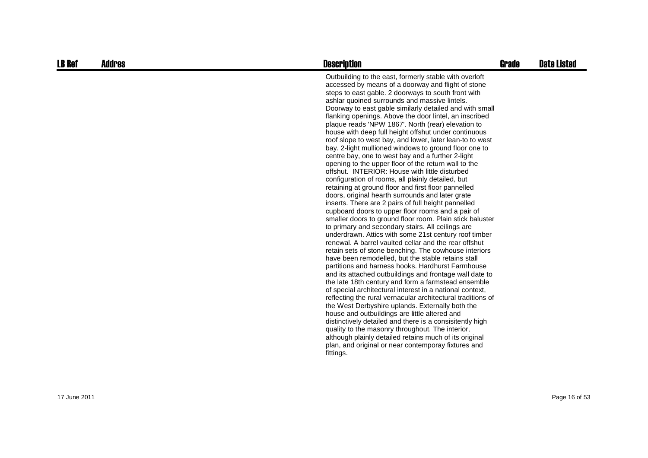| <b>LB Ref</b> | Addres | <b>Description</b>                                                                                                                                                                                                                                                                                                                                                                                                                                                                                                                                                                                                                                                                                                                                                                                                                                                                                                                                                                                                                                                                                                                                                                                                                                                                                                                                                                                                                                                                                                                                                                                                                                                                                                                                                                                                                                                                                                                                                                                                             | Grade | <b>Date Listed</b> |
|---------------|--------|--------------------------------------------------------------------------------------------------------------------------------------------------------------------------------------------------------------------------------------------------------------------------------------------------------------------------------------------------------------------------------------------------------------------------------------------------------------------------------------------------------------------------------------------------------------------------------------------------------------------------------------------------------------------------------------------------------------------------------------------------------------------------------------------------------------------------------------------------------------------------------------------------------------------------------------------------------------------------------------------------------------------------------------------------------------------------------------------------------------------------------------------------------------------------------------------------------------------------------------------------------------------------------------------------------------------------------------------------------------------------------------------------------------------------------------------------------------------------------------------------------------------------------------------------------------------------------------------------------------------------------------------------------------------------------------------------------------------------------------------------------------------------------------------------------------------------------------------------------------------------------------------------------------------------------------------------------------------------------------------------------------------------------|-------|--------------------|
|               |        | Outbuilding to the east, formerly stable with overloft<br>accessed by means of a doorway and flight of stone<br>steps to east gable. 2 doorways to south front with<br>ashlar quoined surrounds and massive lintels.<br>Doorway to east gable similarly detailed and with small<br>flanking openings. Above the door lintel, an inscribed<br>plaque reads 'NPW 1867'. North (rear) elevation to<br>house with deep full height offshut under continuous<br>roof slope to west bay, and lower, later lean-to to west<br>bay. 2-light mullioned windows to ground floor one to<br>centre bay, one to west bay and a further 2-light<br>opening to the upper floor of the return wall to the<br>offshut. INTERIOR: House with little disturbed<br>configuration of rooms, all plainly detailed, but<br>retaining at ground floor and first floor pannelled<br>doors, original hearth surrounds and later grate<br>inserts. There are 2 pairs of full height pannelled<br>cupboard doors to upper floor rooms and a pair of<br>smaller doors to ground floor room. Plain stick baluster<br>to primary and secondary stairs. All ceilings are<br>underdrawn. Attics with some 21st century roof timber<br>renewal. A barrel vaulted cellar and the rear offshut<br>retain sets of stone benching. The cowhouse interiors<br>have been remodelled, but the stable retains stall<br>partitions and harness hooks. Hardhurst Farmhouse<br>and its attached outbuildings and frontage wall date to<br>the late 18th century and form a farmstead ensemble<br>of special architectural interest in a national context,<br>reflecting the rural vernacular architectural traditions of<br>the West Derbyshire uplands. Externally both the<br>house and outbuildings are little altered and<br>distinctively detailed and there is a consisitently high<br>quality to the masonry throughout. The interior,<br>although plainly detailed retains much of its original<br>plan, and original or near contemporay fixtures and<br>fittings. |       |                    |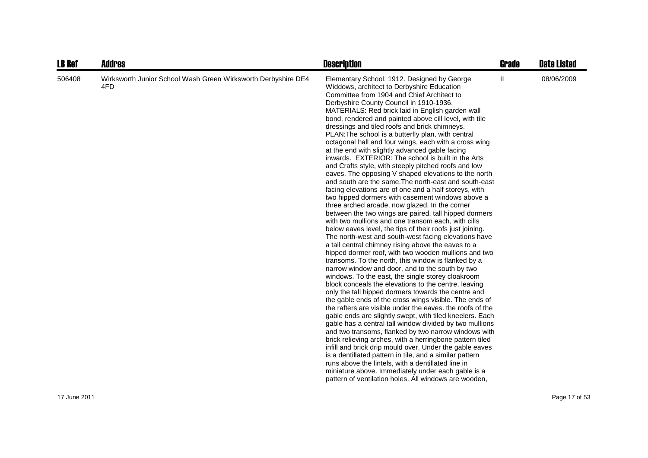| <b>LB Ref</b> | <b>Addres</b>                                                        | <b>Description</b>                                                                                                                                                                                                                                                                                                                                                                                                                                                                                                                                                                                                                                                                                                                                                                                                                                                                                                                                                                                                                                                                                                                                                                                                                                                                                                                                                                                                                                                                                                                                                                                                                                                                                                                                                                                                                                                                                                                                                                                                                                                                                                                                                                                           | <b>Grade</b> | <b>Date Listed</b> |
|---------------|----------------------------------------------------------------------|--------------------------------------------------------------------------------------------------------------------------------------------------------------------------------------------------------------------------------------------------------------------------------------------------------------------------------------------------------------------------------------------------------------------------------------------------------------------------------------------------------------------------------------------------------------------------------------------------------------------------------------------------------------------------------------------------------------------------------------------------------------------------------------------------------------------------------------------------------------------------------------------------------------------------------------------------------------------------------------------------------------------------------------------------------------------------------------------------------------------------------------------------------------------------------------------------------------------------------------------------------------------------------------------------------------------------------------------------------------------------------------------------------------------------------------------------------------------------------------------------------------------------------------------------------------------------------------------------------------------------------------------------------------------------------------------------------------------------------------------------------------------------------------------------------------------------------------------------------------------------------------------------------------------------------------------------------------------------------------------------------------------------------------------------------------------------------------------------------------------------------------------------------------------------------------------------------------|--------------|--------------------|
| 506408        | Wirksworth Junior School Wash Green Wirksworth Derbyshire DE4<br>4FD | Elementary School. 1912. Designed by George<br>Widdows, architect to Derbyshire Education<br>Committee from 1904 and Chief Architect to<br>Derbyshire County Council in 1910-1936.<br>MATERIALS: Red brick laid in English garden wall<br>bond, rendered and painted above cill level, with tile<br>dressings and tiled roofs and brick chimneys.<br>PLAN: The school is a butterfly plan, with central<br>octagonal hall and four wings, each with a cross wing<br>at the end with slightly advanced gable facing<br>inwards. EXTERIOR: The school is built in the Arts<br>and Crafts style, with steeply pitched roofs and low<br>eaves. The opposing V shaped elevations to the north<br>and south are the same. The north-east and south-east<br>facing elevations are of one and a half storeys, with<br>two hipped dormers with casement windows above a<br>three arched arcade, now glazed. In the corner<br>between the two wings are paired, tall hipped dormers<br>with two mullions and one transom each, with cills<br>below eaves level, the tips of their roofs just joining.<br>The north-west and south-west facing elevations have<br>a tall central chimney rising above the eaves to a<br>hipped dormer roof, with two wooden mullions and two<br>transoms. To the north, this window is flanked by a<br>narrow window and door, and to the south by two<br>windows. To the east, the single storey cloakroom<br>block conceals the elevations to the centre, leaving<br>only the tall hipped dormers towards the centre and<br>the gable ends of the cross wings visible. The ends of<br>the rafters are visible under the eaves, the roofs of the<br>gable ends are slightly swept, with tiled kneelers. Each<br>gable has a central tall window divided by two mullions<br>and two transoms, flanked by two narrow windows with<br>brick relieving arches, with a herringbone pattern tiled<br>infill and brick drip mould over. Under the gable eaves<br>is a dentillated pattern in tile, and a similar pattern<br>runs above the lintels, with a dentillated line in<br>miniature above. Immediately under each gable is a<br>pattern of ventilation holes. All windows are wooden, | Ш            | 08/06/2009         |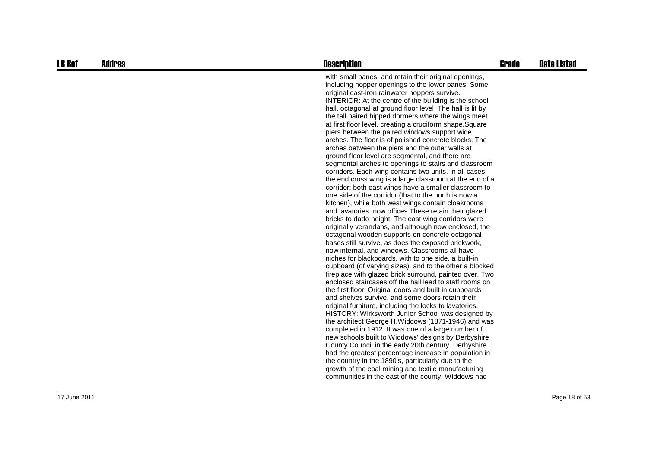| <b>LB Ref</b> | <b>Addres</b> | <b>Description</b>                                                                                                                                                                                                                                                                                                                                                                                                                                                                                                                                                                                                                                                                                                                                                                                                                                                                                                                                                                                                                                                                                                                                                                                                                                                                                                                                                                                                                                                                                                                                                                                                                                                                                                                                                                                                                                                                                                                                                                                                                                                                                                                                                                                                                           | <b>Grade</b> | <b>Date Listed</b> |
|---------------|---------------|----------------------------------------------------------------------------------------------------------------------------------------------------------------------------------------------------------------------------------------------------------------------------------------------------------------------------------------------------------------------------------------------------------------------------------------------------------------------------------------------------------------------------------------------------------------------------------------------------------------------------------------------------------------------------------------------------------------------------------------------------------------------------------------------------------------------------------------------------------------------------------------------------------------------------------------------------------------------------------------------------------------------------------------------------------------------------------------------------------------------------------------------------------------------------------------------------------------------------------------------------------------------------------------------------------------------------------------------------------------------------------------------------------------------------------------------------------------------------------------------------------------------------------------------------------------------------------------------------------------------------------------------------------------------------------------------------------------------------------------------------------------------------------------------------------------------------------------------------------------------------------------------------------------------------------------------------------------------------------------------------------------------------------------------------------------------------------------------------------------------------------------------------------------------------------------------------------------------------------------------|--------------|--------------------|
|               |               | with small panes, and retain their original openings,<br>including hopper openings to the lower panes. Some<br>original cast-iron rainwater hoppers survive.<br>INTERIOR: At the centre of the building is the school<br>hall, octagonal at ground floor level. The hall is lit by<br>the tall paired hipped dormers where the wings meet<br>at first floor level, creating a cruciform shape. Square<br>piers between the paired windows support wide<br>arches. The floor is of polished concrete blocks. The<br>arches between the piers and the outer walls at<br>ground floor level are segmental, and there are<br>segmental arches to openings to stairs and classroom<br>corridors. Each wing contains two units. In all cases,<br>the end cross wing is a large classroom at the end of a<br>corridor; both east wings have a smaller classroom to<br>one side of the corridor (that to the north is now a<br>kitchen), while both west wings contain cloakrooms<br>and lavatories, now offices. These retain their glazed<br>bricks to dado height. The east wing corridors were<br>originally verandahs, and although now enclosed, the<br>octagonal wooden supports on concrete octagonal<br>bases still survive, as does the exposed brickwork,<br>now internal, and windows. Classrooms all have<br>niches for blackboards, with to one side, a built-in<br>cupboard (of varying sizes), and to the other a blocked<br>fireplace with glazed brick surround, painted over. Two<br>enclosed staircases off the hall lead to staff rooms on<br>the first floor. Original doors and built in cupboards<br>and shelves survive, and some doors retain their<br>original furniture, including the locks to lavatories.<br>HISTORY: Wirksworth Junior School was designed by<br>the architect George H. Widdows (1871-1946) and was<br>completed in 1912. It was one of a large number of<br>new schools built to Widdows' designs by Derbyshire<br>County Council in the early 20th century. Derbyshire<br>had the greatest percentage increase in population in<br>the country in the 1890's, particularly due to the<br>growth of the coal mining and textile manufacturing<br>communities in the east of the county. Widdows had |              |                    |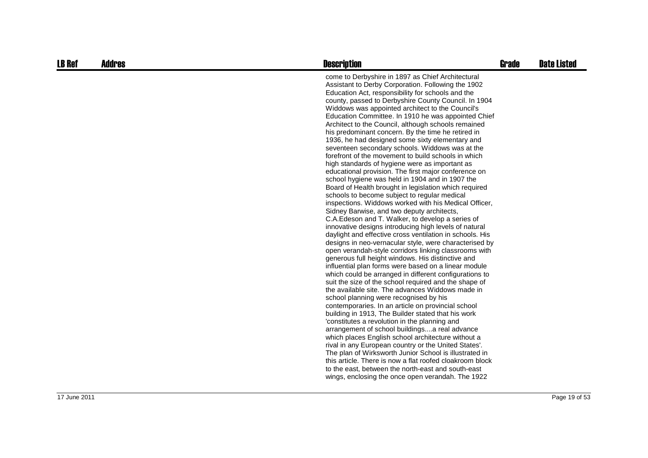| <b>LB Ref</b> | <b>Addres</b> | <b>Description</b>                                                                                                                                                                                                                                                                                                                                                                                                                                                                                                                                                                                                                                                                                                                                                                                                                                                                                                                                                                                                                                                                                                                                                                                                                                                                                                                                                                                                                                                                                                                                                                                                                                                                                                                                                                                                                                                                                                                                                                                                                                                                                                                                                             | <b>Grade</b> | <b>Date Listed</b> |
|---------------|---------------|--------------------------------------------------------------------------------------------------------------------------------------------------------------------------------------------------------------------------------------------------------------------------------------------------------------------------------------------------------------------------------------------------------------------------------------------------------------------------------------------------------------------------------------------------------------------------------------------------------------------------------------------------------------------------------------------------------------------------------------------------------------------------------------------------------------------------------------------------------------------------------------------------------------------------------------------------------------------------------------------------------------------------------------------------------------------------------------------------------------------------------------------------------------------------------------------------------------------------------------------------------------------------------------------------------------------------------------------------------------------------------------------------------------------------------------------------------------------------------------------------------------------------------------------------------------------------------------------------------------------------------------------------------------------------------------------------------------------------------------------------------------------------------------------------------------------------------------------------------------------------------------------------------------------------------------------------------------------------------------------------------------------------------------------------------------------------------------------------------------------------------------------------------------------------------|--------------|--------------------|
|               |               | come to Derbyshire in 1897 as Chief Architectural<br>Assistant to Derby Corporation. Following the 1902<br>Education Act, responsibility for schools and the<br>county, passed to Derbyshire County Council. In 1904<br>Widdows was appointed architect to the Council's<br>Education Committee. In 1910 he was appointed Chief<br>Architect to the Council, although schools remained<br>his predominant concern. By the time he retired in<br>1936, he had designed some sixty elementary and<br>seventeen secondary schools. Widdows was at the<br>forefront of the movement to build schools in which<br>high standards of hygiene were as important as<br>educational provision. The first major conference on<br>school hygiene was held in 1904 and in 1907 the<br>Board of Health brought in legislation which required<br>schools to become subject to regular medical<br>inspections. Widdows worked with his Medical Officer,<br>Sidney Barwise, and two deputy architects,<br>C.A. Edeson and T. Walker, to develop a series of<br>innovative designs introducing high levels of natural<br>daylight and effective cross ventilation in schools. His<br>designs in neo-vernacular style, were characterised by<br>open verandah-style corridors linking classrooms with<br>generous full height windows. His distinctive and<br>influential plan forms were based on a linear module<br>which could be arranged in different configurations to<br>suit the size of the school required and the shape of<br>the available site. The advances Widdows made in<br>school planning were recognised by his<br>contemporaries. In an article on provincial school<br>building in 1913, The Builder stated that his work<br>'constitutes a revolution in the planning and<br>arrangement of school buildingsa real advance<br>which places English school architecture without a<br>rival in any European country or the United States'.<br>The plan of Wirksworth Junior School is illustrated in<br>this article. There is now a flat roofed cloakroom block<br>to the east, between the north-east and south-east<br>wings, enclosing the once open verandah. The 1922 |              |                    |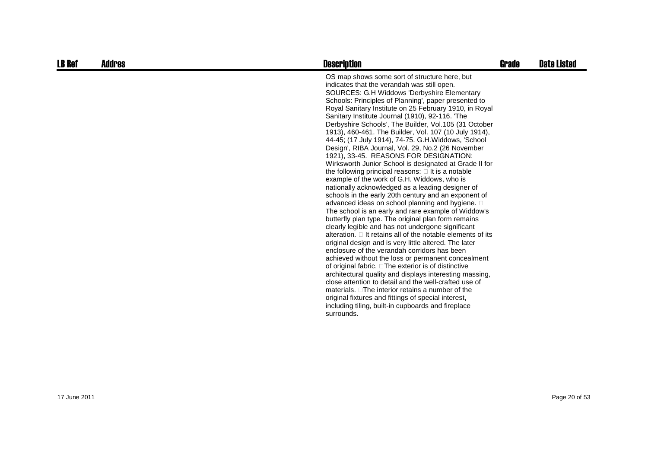| OS map shows some sort of structure here, but<br>indicates that the verandah was still open.<br>SOURCES: G.H Widdows 'Derbyshire Elementary<br>Schools: Principles of Planning', paper presented to<br>Royal Sanitary Institute on 25 February 1910, in Royal<br>Sanitary Institute Journal (1910), 92-116. 'The                                                                                                                                                                                                                                                                                                                                                                                                                                                                                                                                                                                                                                                                                                                                                                                                                                                                                                                                                                                                                                        | <b>Date Listed</b> |
|---------------------------------------------------------------------------------------------------------------------------------------------------------------------------------------------------------------------------------------------------------------------------------------------------------------------------------------------------------------------------------------------------------------------------------------------------------------------------------------------------------------------------------------------------------------------------------------------------------------------------------------------------------------------------------------------------------------------------------------------------------------------------------------------------------------------------------------------------------------------------------------------------------------------------------------------------------------------------------------------------------------------------------------------------------------------------------------------------------------------------------------------------------------------------------------------------------------------------------------------------------------------------------------------------------------------------------------------------------|--------------------|
| Derbyshire Schools', The Builder, Vol. 105 (31 October<br>1913), 460-461. The Builder, Vol. 107 (10 July 1914),<br>44-45; (17 July 1914), 74-75. G.H. Widdows, 'School<br>Design', RIBA Journal, Vol. 29, No.2 (26 November<br>1921), 33-45. REASONS FOR DESIGNATION:<br>Wirksworth Junior School is designated at Grade II for<br>the following principal reasons: It is a notable<br>example of the work of G.H. Widdows, who is<br>nationally acknowledged as a leading designer of<br>schools in the early 20th century and an exponent of<br>advanced ideas on school planning and hygiene.<br>The school is an early and rare example of Widdow's<br>butterfly plan type. The original plan form remains<br>clearly legible and has not undergone significant<br>alteration. It retains all of the notable elements of its<br>original design and is very little altered. The later<br>enclosure of the verandah corridors has been<br>achieved without the loss or permanent concealment<br>of original fabric. The exterior is of distinctive<br>architectural quality and displays interesting massing,<br>close attention to detail and the well-crafted use of<br>materials. The interior retains a number of the<br>original fixtures and fittings of special interest,<br>including tiling, built-in cupboards and fireplace<br>surrounds. |                    |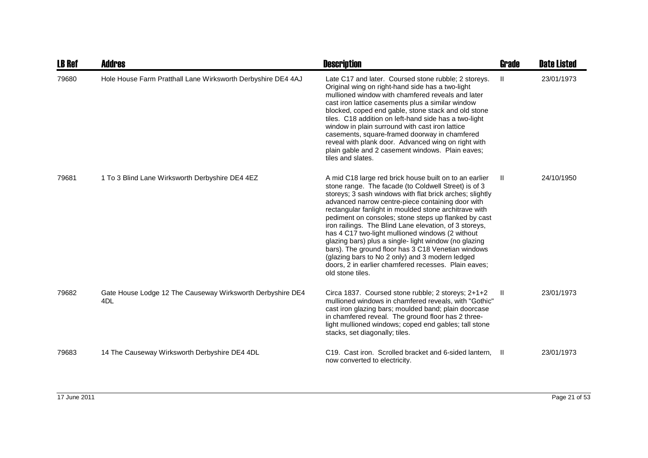| <b>LB Ref</b> | <b>Addres</b>                                                                 | <b>Description</b>                                                                                                                                                                                                                                                                                                                                                                                                                                                                                                                                                                                                                                                                                          | <b>Grade</b>  | <b>Date Listed</b> |
|---------------|-------------------------------------------------------------------------------|-------------------------------------------------------------------------------------------------------------------------------------------------------------------------------------------------------------------------------------------------------------------------------------------------------------------------------------------------------------------------------------------------------------------------------------------------------------------------------------------------------------------------------------------------------------------------------------------------------------------------------------------------------------------------------------------------------------|---------------|--------------------|
| 79680         | Hole House Farm Pratthall Lane Wirksworth Derbyshire DE4 4AJ                  | Late C17 and later. Coursed stone rubble; 2 storeys.<br>Original wing on right-hand side has a two-light<br>mullioned window with chamfered reveals and later<br>cast iron lattice casements plus a similar window<br>blocked, coped end gable, stone stack and old stone<br>tiles. C18 addition on left-hand side has a two-light<br>window in plain surround with cast iron lattice<br>casements, square-framed doorway in chamfered<br>reveal with plank door. Advanced wing on right with<br>plain gable and 2 casement windows. Plain eaves;<br>tiles and slates.                                                                                                                                      | $\mathbf{II}$ | 23/01/1973         |
| 79681         | 1 To 3 Blind Lane Wirksworth Derbyshire DE4 4EZ                               | A mid C18 large red brick house built on to an earlier<br>stone range. The facade (to Coldwell Street) is of 3<br>storeys; 3 sash windows with flat brick arches; slightly<br>advanced narrow centre-piece containing door with<br>rectangular fanlight in moulded stone architrave with<br>pediment on consoles; stone steps up flanked by cast<br>iron railings. The Blind Lane elevation, of 3 storeys,<br>has 4 C17 two-light mullioned windows (2 without<br>glazing bars) plus a single-light window (no glazing<br>bars). The ground floor has 3 C18 Venetian windows<br>(glazing bars to No 2 only) and 3 modern ledged<br>doors, 2 in earlier chamfered recesses. Plain eaves;<br>old stone tiles. | -II           | 24/10/1950         |
| 79682         | Gate House Lodge 12 The Causeway Wirksworth Derbyshire DE4<br>4 <sub>DL</sub> | Circa 1837. Coursed stone rubble; 2 storeys; 2+1+2<br>mullioned windows in chamfered reveals, with "Gothic"<br>cast iron glazing bars; moulded band; plain doorcase<br>in chamfered reveal. The ground floor has 2 three-<br>light mullioned windows; coped end gables; tall stone<br>stacks, set diagonally; tiles.                                                                                                                                                                                                                                                                                                                                                                                        | H             | 23/01/1973         |
| 79683         | 14 The Causeway Wirksworth Derbyshire DE4 4DL                                 | C19. Cast iron. Scrolled bracket and 6-sided lantern, II<br>now converted to electricity.                                                                                                                                                                                                                                                                                                                                                                                                                                                                                                                                                                                                                   |               | 23/01/1973         |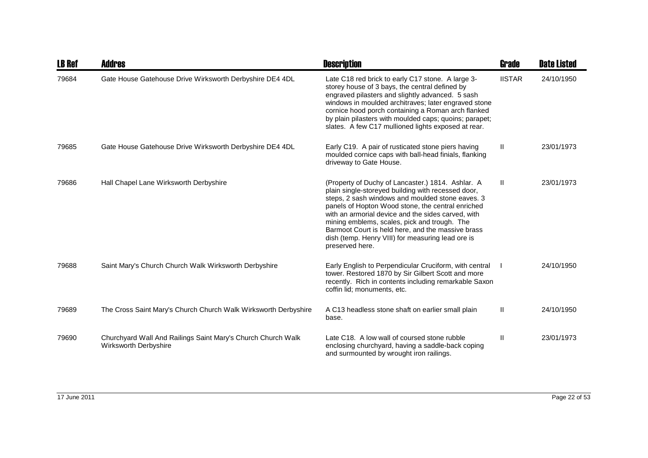| <b>LB Ref</b> | Addres                                                                                       | <b>Description</b>                                                                                                                                                                                                                                                                                                                                                                                                                                  | Grade         | <b>Date Listed</b> |
|---------------|----------------------------------------------------------------------------------------------|-----------------------------------------------------------------------------------------------------------------------------------------------------------------------------------------------------------------------------------------------------------------------------------------------------------------------------------------------------------------------------------------------------------------------------------------------------|---------------|--------------------|
| 79684         | Gate House Gatehouse Drive Wirksworth Derbyshire DE4 4DL                                     | Late C18 red brick to early C17 stone. A large 3-<br>storey house of 3 bays, the central defined by<br>engraved pilasters and slightly advanced. 5 sash<br>windows in moulded architraves; later engraved stone<br>cornice hood porch containing a Roman arch flanked<br>by plain pilasters with moulded caps; quoins; parapet;<br>slates. A few C17 mullioned lights exposed at rear.                                                              | <b>IISTAR</b> | 24/10/1950         |
| 79685         | Gate House Gatehouse Drive Wirksworth Derbyshire DE4 4DL                                     | Early C19. A pair of rusticated stone piers having<br>moulded cornice caps with ball-head finials, flanking<br>driveway to Gate House.                                                                                                                                                                                                                                                                                                              | Ш             | 23/01/1973         |
| 79686         | Hall Chapel Lane Wirksworth Derbyshire                                                       | (Property of Duchy of Lancaster.) 1814. Ashlar. A<br>plain single-storeyed building with recessed door,<br>steps, 2 sash windows and moulded stone eaves. 3<br>panels of Hopton Wood stone, the central enriched<br>with an armorial device and the sides carved, with<br>mining emblems, scales, pick and trough. The<br>Barmoot Court is held here, and the massive brass<br>dish (temp. Henry VIII) for measuring lead ore is<br>preserved here. | $\mathbf{H}$  | 23/01/1973         |
| 79688         | Saint Mary's Church Church Walk Wirksworth Derbyshire                                        | Early English to Perpendicular Cruciform, with central<br>tower. Restored 1870 by Sir Gilbert Scott and more<br>recently. Rich in contents including remarkable Saxon<br>coffin lid; monuments, etc.                                                                                                                                                                                                                                                |               | 24/10/1950         |
| 79689         | The Cross Saint Mary's Church Church Walk Wirksworth Derbyshire                              | A C13 headless stone shaft on earlier small plain<br>base.                                                                                                                                                                                                                                                                                                                                                                                          | $\mathbf{H}$  | 24/10/1950         |
| 79690         | Churchyard Wall And Railings Saint Mary's Church Church Walk<br><b>Wirksworth Derbyshire</b> | Late C18. A low wall of coursed stone rubble<br>enclosing churchyard, having a saddle-back coping<br>and surmounted by wrought iron railings.                                                                                                                                                                                                                                                                                                       | Ш             | 23/01/1973         |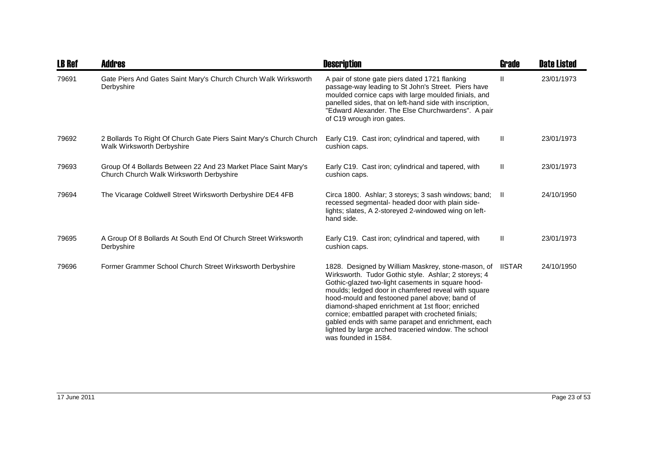| <b>LB Ref</b> | <b>Addres</b>                                                                                               | <b>Description</b>                                                                                                                                                                                                                                                                                                                                                                                                                                                                                                             | Grade        | <b>Date Listed</b> |
|---------------|-------------------------------------------------------------------------------------------------------------|--------------------------------------------------------------------------------------------------------------------------------------------------------------------------------------------------------------------------------------------------------------------------------------------------------------------------------------------------------------------------------------------------------------------------------------------------------------------------------------------------------------------------------|--------------|--------------------|
| 79691         | Gate Piers And Gates Saint Mary's Church Church Walk Wirksworth<br>Derbyshire                               | A pair of stone gate piers dated 1721 flanking<br>passage-way leading to St John's Street. Piers have<br>moulded cornice caps with large moulded finials, and<br>panelled sides, that on left-hand side with inscription,<br>"Edward Alexander. The Else Churchwardens". A pair<br>of C19 wrough iron gates.                                                                                                                                                                                                                   | $\mathbf{I}$ | 23/01/1973         |
| 79692         | 2 Bollards To Right Of Church Gate Piers Saint Mary's Church Church<br>Walk Wirksworth Derbyshire           | Early C19. Cast iron; cylindrical and tapered, with<br>cushion caps.                                                                                                                                                                                                                                                                                                                                                                                                                                                           | $\mathbf{H}$ | 23/01/1973         |
| 79693         | Group Of 4 Bollards Between 22 And 23 Market Place Saint Mary's<br>Church Church Walk Wirksworth Derbyshire | Early C19. Cast iron; cylindrical and tapered, with<br>cushion caps.                                                                                                                                                                                                                                                                                                                                                                                                                                                           | Ш            | 23/01/1973         |
| 79694         | The Vicarage Coldwell Street Wirksworth Derbyshire DE4 4FB                                                  | Circa 1800. Ashlar; 3 storeys; 3 sash windows; band; II<br>recessed segmental- headed door with plain side-<br>lights; slates, A 2-storeyed 2-windowed wing on left-<br>hand side.                                                                                                                                                                                                                                                                                                                                             |              | 24/10/1950         |
| 79695         | A Group Of 8 Bollards At South End Of Church Street Wirksworth<br>Derbyshire                                | Early C19. Cast iron; cylindrical and tapered, with<br>cushion caps.                                                                                                                                                                                                                                                                                                                                                                                                                                                           | $\mathbf{H}$ | 23/01/1973         |
| 79696         | Former Grammer School Church Street Wirksworth Derbyshire                                                   | 1828. Designed by William Maskrey, stone-mason, of IISTAR<br>Wirksworth. Tudor Gothic style. Ashlar; 2 storeys; 4<br>Gothic-glazed two-light casements in square hood-<br>moulds; ledged door in chamfered reveal with square<br>hood-mould and festooned panel above; band of<br>diamond-shaped enrichment at 1st floor; enriched<br>cornice; embattled parapet with crocheted finials;<br>gabled ends with same parapet and enrichment, each<br>lighted by large arched traceried window. The school<br>was founded in 1584. |              | 24/10/1950         |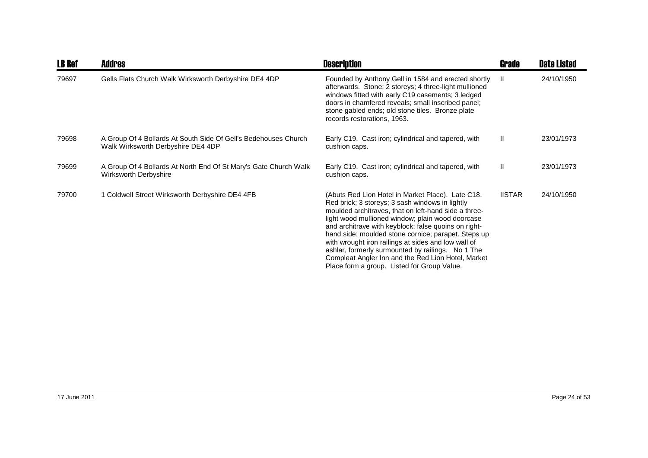| <b>LB Ref</b> | <b>Addres</b>                                                                                         | <b>Description</b>                                                                                                                                                                                                                                                                                                                                                                                                                                                                                                                               | <b>Grade</b>  | <b>Date Listed</b> |
|---------------|-------------------------------------------------------------------------------------------------------|--------------------------------------------------------------------------------------------------------------------------------------------------------------------------------------------------------------------------------------------------------------------------------------------------------------------------------------------------------------------------------------------------------------------------------------------------------------------------------------------------------------------------------------------------|---------------|--------------------|
| 79697         | Gells Flats Church Walk Wirksworth Derbyshire DE4 4DP                                                 | Founded by Anthony Gell in 1584 and erected shortly<br>afterwards. Stone; 2 storeys; 4 three-light mullioned<br>windows fitted with early C19 casements; 3 ledged<br>doors in chamfered reveals; small inscribed panel;<br>stone gabled ends; old stone tiles. Bronze plate<br>records restorations, 1963.                                                                                                                                                                                                                                       | - 11          | 24/10/1950         |
| 79698         | A Group Of 4 Bollards At South Side Of Gell's Bedehouses Church<br>Walk Wirksworth Derbyshire DE4 4DP | Early C19. Cast iron; cylindrical and tapered, with<br>cushion caps.                                                                                                                                                                                                                                                                                                                                                                                                                                                                             | $\mathbf{H}$  | 23/01/1973         |
| 79699         | A Group Of 4 Bollards At North End Of St Mary's Gate Church Walk<br>Wirksworth Derbyshire             | Early C19. Cast iron; cylindrical and tapered, with<br>cushion caps.                                                                                                                                                                                                                                                                                                                                                                                                                                                                             | $\mathbf{H}$  | 23/01/1973         |
| 79700         | 1 Coldwell Street Wirksworth Derbyshire DE4 4FB                                                       | (Abuts Red Lion Hotel in Market Place). Late C18.<br>Red brick; 3 storeys; 3 sash windows in lightly<br>moulded architraves, that on left-hand side a three-<br>light wood mullioned window; plain wood doorcase<br>and architrave with keyblock; false quoins on right-<br>hand side; moulded stone cornice; parapet. Steps up<br>with wrought iron railings at sides and low wall of<br>ashlar, formerly surmounted by railings. No 1 The<br>Compleat Angler Inn and the Red Lion Hotel, Market<br>Place form a group. Listed for Group Value. | <b>IISTAR</b> | 24/10/1950         |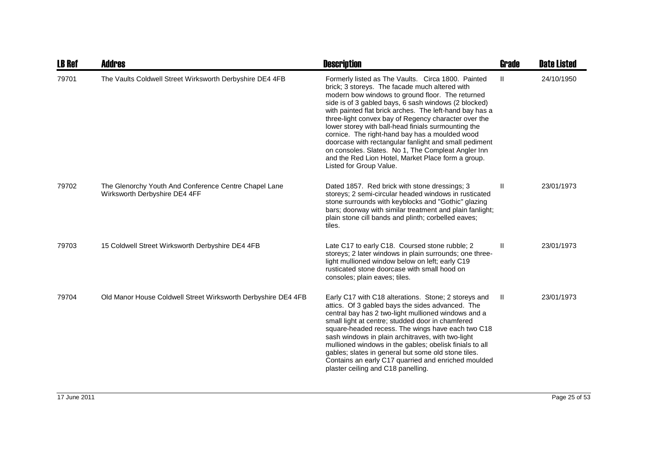| <b>LB Ref</b> | Addres                                                                                 | <b>Description</b>                                                                                                                                                                                                                                                                                                                                                                                                                                                                                                                                                                                                                           | <b>Grade</b> | <b>Date Listed</b> |
|---------------|----------------------------------------------------------------------------------------|----------------------------------------------------------------------------------------------------------------------------------------------------------------------------------------------------------------------------------------------------------------------------------------------------------------------------------------------------------------------------------------------------------------------------------------------------------------------------------------------------------------------------------------------------------------------------------------------------------------------------------------------|--------------|--------------------|
| 79701         | The Vaults Coldwell Street Wirksworth Derbyshire DE4 4FB                               | Formerly listed as The Vaults. Circa 1800. Painted<br>brick; 3 storeys. The facade much altered with<br>modern bow windows to ground floor. The returned<br>side is of 3 gabled bays, 6 sash windows (2 blocked)<br>with painted flat brick arches. The left-hand bay has a<br>three-light convex bay of Regency character over the<br>lower storey with ball-head finials surmounting the<br>cornice. The right-hand bay has a moulded wood<br>doorcase with rectangular fanlight and small pediment<br>on consoles. Slates. No 1, The Compleat Angler Inn<br>and the Red Lion Hotel, Market Place form a group.<br>Listed for Group Value. | $\mathbf{H}$ | 24/10/1950         |
| 79702         | The Glenorchy Youth And Conference Centre Chapel Lane<br>Wirksworth Derbyshire DE4 4FF | Dated 1857. Red brick with stone dressings; 3<br>storeys; 2 semi-circular headed windows in rusticated<br>stone surrounds with keyblocks and "Gothic" glazing<br>bars; doorway with similar treatment and plain fanlight;<br>plain stone cill bands and plinth; corbelled eaves;<br>tiles.                                                                                                                                                                                                                                                                                                                                                   | Ш            | 23/01/1973         |
| 79703         | 15 Coldwell Street Wirksworth Derbyshire DE4 4FB                                       | Late C17 to early C18. Coursed stone rubble; 2<br>storeys; 2 later windows in plain surrounds; one three-<br>light mullioned window below on left; early C19<br>rusticated stone doorcase with small hood on<br>consoles; plain eaves; tiles.                                                                                                                                                                                                                                                                                                                                                                                                | Ш            | 23/01/1973         |
| 79704         | Old Manor House Coldwell Street Wirksworth Derbyshire DE4 4FB                          | Early C17 with C18 alterations. Stone; 2 storeys and<br>attics. Of 3 gabled bays the sides advanced. The<br>central bay has 2 two-light mullioned windows and a<br>small light at centre; studded door in chamfered<br>square-headed recess. The wings have each two C18<br>sash windows in plain architraves, with two-light<br>mullioned windows in the gables; obelisk finials to all<br>gables; slates in general but some old stone tiles.<br>Contains an early C17 quarried and enriched moulded<br>plaster ceiling and C18 panelling.                                                                                                 | Ш            | 23/01/1973         |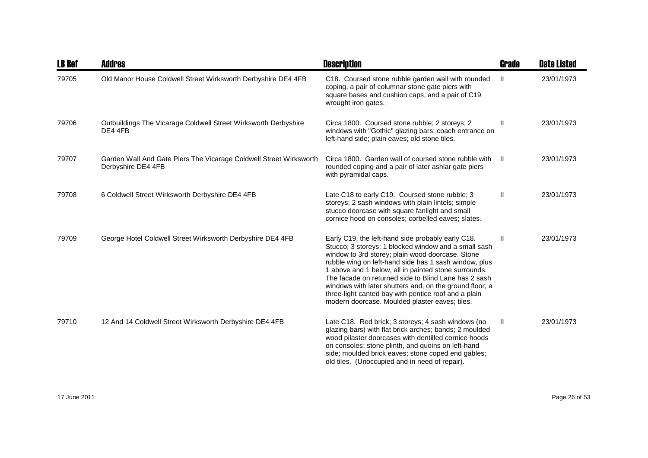| <b>LB Ref</b> | <b>Addres</b>                                                                            | <b>Description</b>                                                                                                                                                                                                                                                                                                                                                                                                                                                                                          | Grade         | <b>Date Listed</b> |
|---------------|------------------------------------------------------------------------------------------|-------------------------------------------------------------------------------------------------------------------------------------------------------------------------------------------------------------------------------------------------------------------------------------------------------------------------------------------------------------------------------------------------------------------------------------------------------------------------------------------------------------|---------------|--------------------|
| 79705         | Old Manor House Coldwell Street Wirksworth Derbyshire DE4 4FB                            | C18. Coursed stone rubble garden wall with rounded<br>coping, a pair of columnar stone gate piers with<br>square bases and cushion caps, and a pair of C19<br>wrought iron gates.                                                                                                                                                                                                                                                                                                                           | $\mathbf{II}$ | 23/01/1973         |
| 79706         | Outbuildings The Vicarage Coldwell Street Wirksworth Derbyshire<br>DE4 4FB               | Circa 1800. Coursed stone rubble; 2 storeys; 2<br>windows with "Gothic" glazing bars; coach entrance on<br>left-hand side; plain eaves; old stone tiles.                                                                                                                                                                                                                                                                                                                                                    | Ш             | 23/01/1973         |
| 79707         | Garden Wall And Gate Piers The Vicarage Coldwell Street Wirksworth<br>Derbyshire DE4 4FB | Circa 1800. Garden wall of coursed stone rubble with<br>rounded coping and a pair of later ashlar gate piers<br>with pyramidal caps.                                                                                                                                                                                                                                                                                                                                                                        | H             | 23/01/1973         |
| 79708         | 6 Coldwell Street Wirksworth Derbyshire DE4 4FB                                          | Late C18 to early C19. Coursed stone rubble; 3<br>storeys; 2 sash windows with plain lintels; simple<br>stucco doorcase with square fanlight and small<br>cornice hood on consoles; corbelled eaves; slates.                                                                                                                                                                                                                                                                                                | Ш.            | 23/01/1973         |
| 79709         | George Hotel Coldwell Street Wirksworth Derbyshire DE4 4FB                               | Early C19, the left-hand side probably early C18.<br>Stucco; 3 storeys; 1 blocked window and a small sash<br>window to 3rd storey; plain wood doorcase. Stone<br>rubble wing on left-hand side has 1 sash window, plus<br>1 above and 1 below, all in painted stone surrounds.<br>The facade on returned side to Blind Lane has 2 sash<br>windows with later shutters and, on the ground floor, a<br>three-light canted bay with pentice roof and a plain<br>modern doorcase. Moulded plaster eaves; tiles. | Ш             | 23/01/1973         |
| 79710         | 12 And 14 Coldwell Street Wirksworth Derbyshire DE4 4FB                                  | Late C18. Red brick; 3 storeys; 4 sash windows (no<br>glazing bars) with flat brick arches; bands; 2 moulded<br>wood pilaster doorcases with dentilled cornice hoods<br>on consoles; stone plinth, and quoins on left-hand<br>side; moulded brick eaves; stone coped end gables;<br>old tiles. (Unoccupied and in need of repair).                                                                                                                                                                          | Ш             | 23/01/1973         |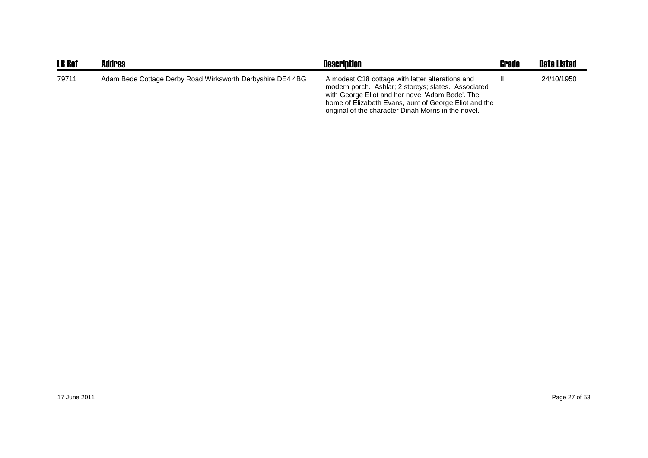| <b>LB Ref</b> | <b>Addres</b>                                              | <b>Description</b>                                                                                                                                                                                                                                                           | Grade | <b>Date Listed</b> |
|---------------|------------------------------------------------------------|------------------------------------------------------------------------------------------------------------------------------------------------------------------------------------------------------------------------------------------------------------------------------|-------|--------------------|
| 79711         | Adam Bede Cottage Derby Road Wirksworth Derbyshire DE4 4BG | A modest C18 cottage with latter alterations and<br>modern porch. Ashlar; 2 storeys; slates. Associated<br>with George Eliot and her novel 'Adam Bede'. The<br>home of Elizabeth Evans, aunt of George Eliot and the<br>original of the character Dinah Morris in the novel. |       | 24/10/1950         |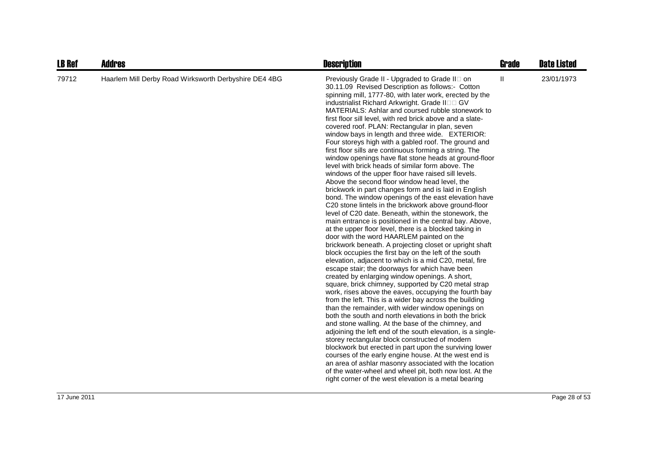| <b>LB Ref</b> | <b>Addres</b>                                         | <b>Description</b>                                                                                                                                                                                                                                                                                                                                                                                                                                                                                                                                                                                                                                                                                                                                                                                                                                                                                                                                                                                                                                                                                                                                                                                                                                                                                                                                                                                                                                                                                                                                                                                                                                                                                                                                                                                                                                                                                                                                                                                                                                                                                                                                                                                                                    | <b>Grade</b>               | <b>Date Listed</b> |
|---------------|-------------------------------------------------------|---------------------------------------------------------------------------------------------------------------------------------------------------------------------------------------------------------------------------------------------------------------------------------------------------------------------------------------------------------------------------------------------------------------------------------------------------------------------------------------------------------------------------------------------------------------------------------------------------------------------------------------------------------------------------------------------------------------------------------------------------------------------------------------------------------------------------------------------------------------------------------------------------------------------------------------------------------------------------------------------------------------------------------------------------------------------------------------------------------------------------------------------------------------------------------------------------------------------------------------------------------------------------------------------------------------------------------------------------------------------------------------------------------------------------------------------------------------------------------------------------------------------------------------------------------------------------------------------------------------------------------------------------------------------------------------------------------------------------------------------------------------------------------------------------------------------------------------------------------------------------------------------------------------------------------------------------------------------------------------------------------------------------------------------------------------------------------------------------------------------------------------------------------------------------------------------------------------------------------------|----------------------------|--------------------|
| 79712         | Haarlem Mill Derby Road Wirksworth Derbyshire DE4 4BG | Previously Grade II - Upgraded to Grade II on<br>30.11.09 Revised Description as follows:- Cotton<br>spinning mill, 1777-80, with later work, erected by the<br>industrialist Richard Arkwright. Grade II<br>GV.<br>MATERIALS: Ashlar and coursed rubble stonework to<br>first floor sill level, with red brick above and a slate-<br>covered roof. PLAN: Rectangular in plan, seven<br>window bays in length and three wide. EXTERIOR:<br>Four storeys high with a gabled roof. The ground and<br>first floor sills are continuous forming a string. The<br>window openings have flat stone heads at ground-floor<br>level with brick heads of similar form above. The<br>windows of the upper floor have raised sill levels.<br>Above the second floor window head level, the<br>brickwork in part changes form and is laid in English<br>bond. The window openings of the east elevation have<br>C20 stone lintels in the brickwork above ground-floor<br>level of C20 date. Beneath, within the stonework, the<br>main entrance is positioned in the central bay. Above,<br>at the upper floor level, there is a blocked taking in<br>door with the word HAARLEM painted on the<br>brickwork beneath. A projecting closet or upright shaft<br>block occupies the first bay on the left of the south<br>elevation, adjacent to which is a mid C20, metal, fire<br>escape stair; the doorways for which have been<br>created by enlarging window openings. A short,<br>square, brick chimney, supported by C20 metal strap<br>work, rises above the eaves, occupying the fourth bay<br>from the left. This is a wider bay across the building<br>than the remainder, with wider window openings on<br>both the south and north elevations in both the brick<br>and stone walling. At the base of the chimney, and<br>adjoining the left end of the south elevation, is a single-<br>storey rectangular block constructed of modern<br>blockwork but erected in part upon the surviving lower<br>courses of the early engine house. At the west end is<br>an area of ashlar masonry associated with the location<br>of the water-wheel and wheel pit, both now lost. At the<br>right corner of the west elevation is a metal bearing | $\ensuremath{\mathsf{II}}$ | 23/01/1973         |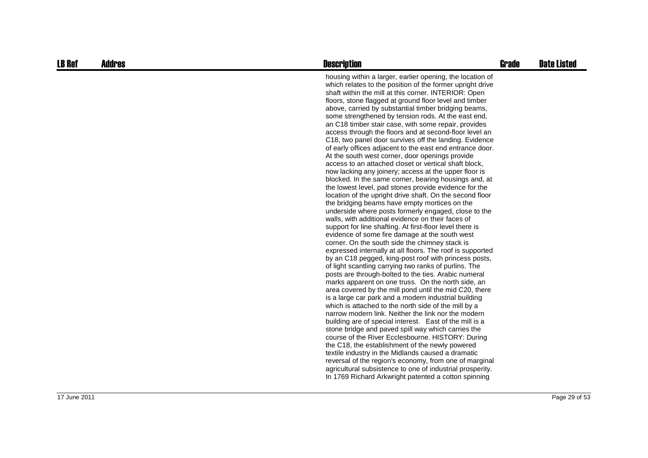| <b>LB Ref</b> | <b>Addres</b> | <b>Description</b>                                                                                                                                                                                                                                                                                                                                                                                                                                                                                                                                                                                                                                                                                                                                                                                                                                                                                                                                                                                                                                                                                                                                                                                                                                                                                                                                                                                                                                                                                                                                                                                                                                                                                                                                                                                                                                                                                                                                                                                                                                                                                                                                                                                                                                                           | <b>Grade</b> | <b>Date Listed</b> |
|---------------|---------------|------------------------------------------------------------------------------------------------------------------------------------------------------------------------------------------------------------------------------------------------------------------------------------------------------------------------------------------------------------------------------------------------------------------------------------------------------------------------------------------------------------------------------------------------------------------------------------------------------------------------------------------------------------------------------------------------------------------------------------------------------------------------------------------------------------------------------------------------------------------------------------------------------------------------------------------------------------------------------------------------------------------------------------------------------------------------------------------------------------------------------------------------------------------------------------------------------------------------------------------------------------------------------------------------------------------------------------------------------------------------------------------------------------------------------------------------------------------------------------------------------------------------------------------------------------------------------------------------------------------------------------------------------------------------------------------------------------------------------------------------------------------------------------------------------------------------------------------------------------------------------------------------------------------------------------------------------------------------------------------------------------------------------------------------------------------------------------------------------------------------------------------------------------------------------------------------------------------------------------------------------------------------------|--------------|--------------------|
|               |               | housing within a larger, earlier opening, the location of<br>which relates to the position of the former upright drive<br>shaft within the mill at this corner. INTERIOR: Open<br>floors, stone flagged at ground floor level and timber<br>above, carried by substantial timber bridging beams,<br>some strengthened by tension rods. At the east end,<br>an C18 timber stair case, with some repair, provides<br>access through the floors and at second-floor level an<br>C18, two panel door survives off the landing. Evidence<br>of early offices adjacent to the east end entrance door.<br>At the south west corner, door openings provide<br>access to an attached closet or vertical shaft block,<br>now lacking any joinery; access at the upper floor is<br>blocked. In the same corner, bearing housings and, at<br>the lowest level, pad stones provide evidence for the<br>location of the upright drive shaft. On the second floor<br>the bridging beams have empty mortices on the<br>underside where posts formerly engaged, close to the<br>walls, with additional evidence on their faces of<br>support for line shafting. At first-floor level there is<br>evidence of some fire damage at the south west<br>corner. On the south side the chimney stack is<br>expressed internally at all floors. The roof is supported<br>by an C18 pegged, king-post roof with princess posts,<br>of light scantling carrying two ranks of purlins. The<br>posts are through-bolted to the ties. Arabic numeral<br>marks apparent on one truss. On the north side, an<br>area covered by the mill pond until the mid C20, there<br>is a large car park and a modern industrial building<br>which is attached to the north side of the mill by a<br>narrow modern link. Neither the link nor the modern<br>building are of special interest. East of the mill is a<br>stone bridge and paved spill way which carries the<br>course of the River Ecclesbourne. HISTORY: During<br>the C18, the establishment of the newly powered<br>textile industry in the Midlands caused a dramatic<br>reversal of the region's economy, from one of marginal<br>agricultural subsistence to one of industrial prosperity.<br>In 1769 Richard Arkwright patented a cotton spinning |              |                    |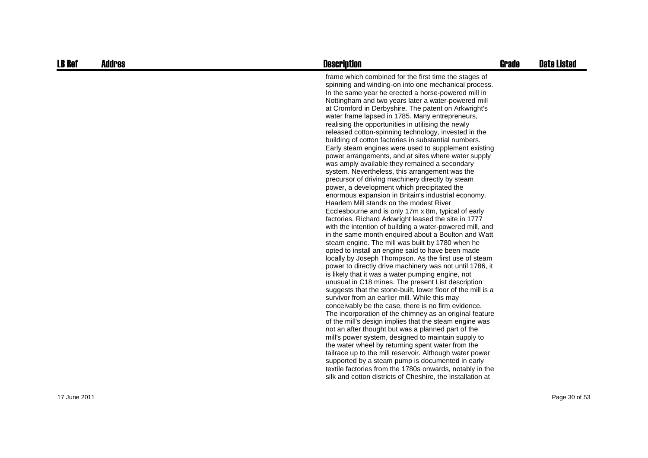| <b>LB Ref</b> | <b>Addres</b> | <b>Description</b>                                                                                                                                                                                                                                                                                                                                                                                                                                                                                                                                                                                                                                                                                                                                                                                                                                                                                                                                                                                                                                                                                                                                                                                                                                                                                                                                                                                                                                                                                                                                                                                                                                                                                                                                                                                                                                                                                                                                                                                                                                                                                                                                                                                                    | <b>Grade</b> | <b>Date Listed</b> |
|---------------|---------------|-----------------------------------------------------------------------------------------------------------------------------------------------------------------------------------------------------------------------------------------------------------------------------------------------------------------------------------------------------------------------------------------------------------------------------------------------------------------------------------------------------------------------------------------------------------------------------------------------------------------------------------------------------------------------------------------------------------------------------------------------------------------------------------------------------------------------------------------------------------------------------------------------------------------------------------------------------------------------------------------------------------------------------------------------------------------------------------------------------------------------------------------------------------------------------------------------------------------------------------------------------------------------------------------------------------------------------------------------------------------------------------------------------------------------------------------------------------------------------------------------------------------------------------------------------------------------------------------------------------------------------------------------------------------------------------------------------------------------------------------------------------------------------------------------------------------------------------------------------------------------------------------------------------------------------------------------------------------------------------------------------------------------------------------------------------------------------------------------------------------------------------------------------------------------------------------------------------------------|--------------|--------------------|
|               |               | frame which combined for the first time the stages of<br>spinning and winding-on into one mechanical process.<br>In the same year he erected a horse-powered mill in<br>Nottingham and two years later a water-powered mill<br>at Cromford in Derbyshire. The patent on Arkwright's<br>water frame lapsed in 1785. Many entrepreneurs,<br>realising the opportunities in utilising the newly<br>released cotton-spinning technology, invested in the<br>building of cotton factories in substantial numbers.<br>Early steam engines were used to supplement existing<br>power arrangements, and at sites where water supply<br>was amply available they remained a secondary<br>system. Nevertheless, this arrangement was the<br>precursor of driving machinery directly by steam<br>power, a development which precipitated the<br>enormous expansion in Britain's industrial economy.<br>Haarlem Mill stands on the modest River<br>Ecclesbourne and is only 17m x 8m, typical of early<br>factories. Richard Arkwright leased the site in 1777<br>with the intention of building a water-powered mill, and<br>in the same month enguired about a Boulton and Watt<br>steam engine. The mill was built by 1780 when he<br>opted to install an engine said to have been made<br>locally by Joseph Thompson. As the first use of steam<br>power to directly drive machinery was not until 1786, it<br>is likely that it was a water pumping engine, not<br>unusual in C18 mines. The present List description<br>suggests that the stone-built, lower floor of the mill is a<br>survivor from an earlier mill. While this may<br>conceivably be the case, there is no firm evidence.<br>The incorporation of the chimney as an original feature<br>of the mill's design implies that the steam engine was<br>not an after thought but was a planned part of the<br>mill's power system, designed to maintain supply to<br>the water wheel by returning spent water from the<br>tailrace up to the mill reservoir. Although water power<br>supported by a steam pump is documented in early<br>textile factories from the 1780s onwards, notably in the<br>silk and cotton districts of Cheshire, the installation at |              |                    |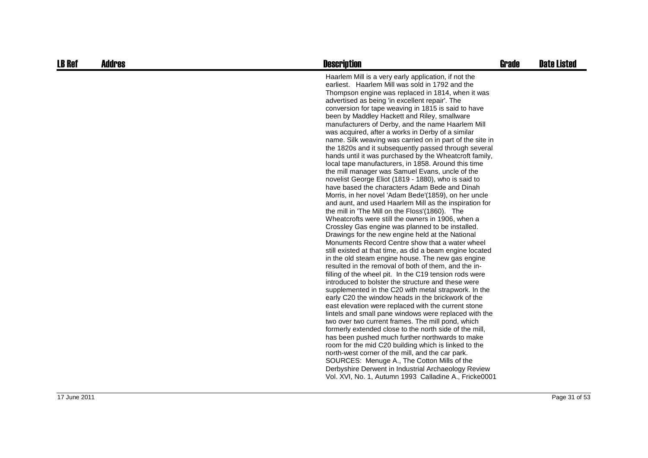| <b>LB Ref</b> | <b>Addres</b> | <b>Description</b>                                                                                                                                                                                                                                                                                                                                                                                                                                                                                                                                                                                                                                                                                                                                                                                                                                                                                                                                                                                                                                                                                                                                                                                                                                                                                                                                                                                                                                                                                                                                                                                                                                                                                                                                                                                                                                                                                                                                                                                                                                                                                                                                                                      | <b>Grade</b> | <b>Date Listed</b> |
|---------------|---------------|-----------------------------------------------------------------------------------------------------------------------------------------------------------------------------------------------------------------------------------------------------------------------------------------------------------------------------------------------------------------------------------------------------------------------------------------------------------------------------------------------------------------------------------------------------------------------------------------------------------------------------------------------------------------------------------------------------------------------------------------------------------------------------------------------------------------------------------------------------------------------------------------------------------------------------------------------------------------------------------------------------------------------------------------------------------------------------------------------------------------------------------------------------------------------------------------------------------------------------------------------------------------------------------------------------------------------------------------------------------------------------------------------------------------------------------------------------------------------------------------------------------------------------------------------------------------------------------------------------------------------------------------------------------------------------------------------------------------------------------------------------------------------------------------------------------------------------------------------------------------------------------------------------------------------------------------------------------------------------------------------------------------------------------------------------------------------------------------------------------------------------------------------------------------------------------------|--------------|--------------------|
|               |               | Haarlem Mill is a very early application, if not the<br>earliest. Haarlem Mill was sold in 1792 and the<br>Thompson engine was replaced in 1814, when it was<br>advertised as being 'in excellent repair'. The<br>conversion for tape weaving in 1815 is said to have<br>been by Maddley Hackett and Riley, smallware<br>manufacturers of Derby, and the name Haarlem Mill<br>was acquired, after a works in Derby of a similar<br>name. Silk weaving was carried on in part of the site in<br>the 1820s and it subsequently passed through several<br>hands until it was purchased by the Wheatcroft family,<br>local tape manufacturers, in 1858. Around this time<br>the mill manager was Samuel Evans, uncle of the<br>novelist George Eliot (1819 - 1880), who is said to<br>have based the characters Adam Bede and Dinah<br>Morris, in her novel 'Adam Bede'(1859), on her uncle<br>and aunt, and used Haarlem Mill as the inspiration for<br>the mill in 'The Mill on the Floss'(1860). The<br>Wheatcrofts were still the owners in 1906, when a<br>Crossley Gas engine was planned to be installed.<br>Drawings for the new engine held at the National<br>Monuments Record Centre show that a water wheel<br>still existed at that time, as did a beam engine located<br>in the old steam engine house. The new gas engine<br>resulted in the removal of both of them, and the in-<br>filling of the wheel pit. In the C19 tension rods were<br>introduced to bolster the structure and these were<br>supplemented in the C20 with metal strapwork. In the<br>early C20 the window heads in the brickwork of the<br>east elevation were replaced with the current stone<br>lintels and small pane windows were replaced with the<br>two over two current frames. The mill pond, which<br>formerly extended close to the north side of the mill,<br>has been pushed much further northwards to make<br>room for the mid C20 building which is linked to the<br>north-west corner of the mill, and the car park.<br>SOURCES: Menuge A., The Cotton Mills of the<br>Derbyshire Derwent in Industrial Archaeology Review<br>Vol. XVI, No. 1, Autumn 1993 Calladine A., Fricke0001 |              |                    |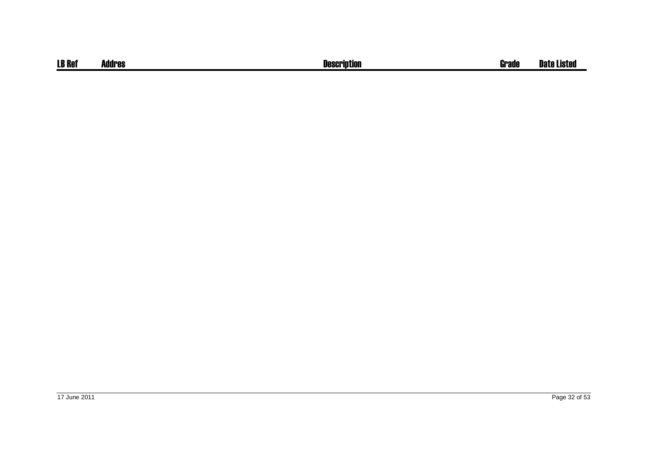| <b>LB Ref</b> | Addres | <b>Description</b> | Grade | <b>Date Listed</b> |
|---------------|--------|--------------------|-------|--------------------|
|               |        |                    |       |                    |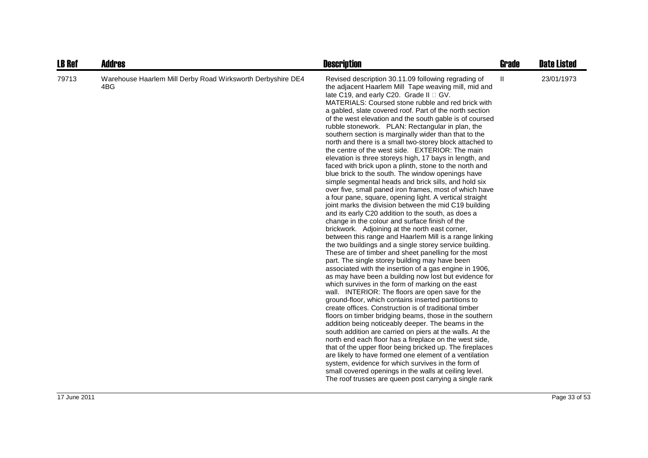| <b>LB Ref</b> | <b>Addres</b>                                                      | <b>Description</b>                                                                                                                                                                                                                                                                                                                                                                                                                                                                                                                                                                                                                                                                                                                                                                                                                                                                                                                                                                                                                                                                                                                                                                                                                                                                                                                                                                                                                                                                                                                                                                                                                                                                                                                                                                                                                                                                                                                                                                                                                                                                                                                                                                                                                                    | <b>Grade</b> | <b>Date Listed</b> |
|---------------|--------------------------------------------------------------------|-------------------------------------------------------------------------------------------------------------------------------------------------------------------------------------------------------------------------------------------------------------------------------------------------------------------------------------------------------------------------------------------------------------------------------------------------------------------------------------------------------------------------------------------------------------------------------------------------------------------------------------------------------------------------------------------------------------------------------------------------------------------------------------------------------------------------------------------------------------------------------------------------------------------------------------------------------------------------------------------------------------------------------------------------------------------------------------------------------------------------------------------------------------------------------------------------------------------------------------------------------------------------------------------------------------------------------------------------------------------------------------------------------------------------------------------------------------------------------------------------------------------------------------------------------------------------------------------------------------------------------------------------------------------------------------------------------------------------------------------------------------------------------------------------------------------------------------------------------------------------------------------------------------------------------------------------------------------------------------------------------------------------------------------------------------------------------------------------------------------------------------------------------------------------------------------------------------------------------------------------------|--------------|--------------------|
| 79713         | Warehouse Haarlem Mill Derby Road Wirksworth Derbyshire DE4<br>4BG | Revised description 30.11.09 following regrading of<br>the adjacent Haarlem Mill Tape weaving mill, mid and<br>late C19, and early C20. Grade II GV.<br>MATERIALS: Coursed stone rubble and red brick with<br>a gabled, slate covered roof. Part of the north section<br>of the west elevation and the south gable is of coursed<br>rubble stonework. PLAN: Rectangular in plan, the<br>southern section is marginally wider than that to the<br>north and there is a small two-storey block attached to<br>the centre of the west side. EXTERIOR: The main<br>elevation is three storeys high, 17 bays in length, and<br>faced with brick upon a plinth, stone to the north and<br>blue brick to the south. The window openings have<br>simple segmental heads and brick sills, and hold six<br>over five, small paned iron frames, most of which have<br>a four pane, square, opening light. A vertical straight<br>joint marks the division between the mid C19 building<br>and its early C20 addition to the south, as does a<br>change in the colour and surface finish of the<br>brickwork. Adjoining at the north east corner,<br>between this range and Haarlem Mill is a range linking<br>the two buildings and a single storey service building.<br>These are of timber and sheet panelling for the most<br>part. The single storey building may have been<br>associated with the insertion of a gas engine in 1906,<br>as may have been a building now lost but evidence for<br>which survives in the form of marking on the east<br>wall. INTERIOR: The floors are open save for the<br>ground-floor, which contains inserted partitions to<br>create offices. Construction is of traditional timber<br>floors on timber bridging beams, those in the southern<br>addition being noticeably deeper. The beams in the<br>south addition are carried on piers at the walls. At the<br>north end each floor has a fireplace on the west side,<br>that of the upper floor being bricked up. The fireplaces<br>are likely to have formed one element of a ventilation<br>system, evidence for which survives in the form of<br>small covered openings in the walls at ceiling level.<br>The roof trusses are queen post carrying a single rank | Ш            | 23/01/1973         |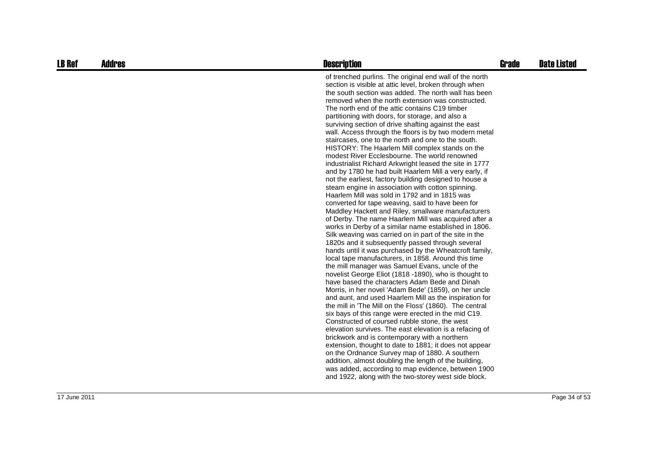| <b>LB Ref</b> | <b>Addres</b> | <b>Description</b>                                                                                                                                                                                                                                                                                                                                                                                                                                                                                                                                                                                                                                                                                                                                                                                                                                                                                                                                                                                                                                                                                                                                                                                                                                                                                                                                                                                                                                                                                                                                                                                                                                                                                                                                                                                                                                                                                                                                                                                                                                                                                                                                                                                                 | <b>Grade</b> | <b>Date Listed</b> |
|---------------|---------------|--------------------------------------------------------------------------------------------------------------------------------------------------------------------------------------------------------------------------------------------------------------------------------------------------------------------------------------------------------------------------------------------------------------------------------------------------------------------------------------------------------------------------------------------------------------------------------------------------------------------------------------------------------------------------------------------------------------------------------------------------------------------------------------------------------------------------------------------------------------------------------------------------------------------------------------------------------------------------------------------------------------------------------------------------------------------------------------------------------------------------------------------------------------------------------------------------------------------------------------------------------------------------------------------------------------------------------------------------------------------------------------------------------------------------------------------------------------------------------------------------------------------------------------------------------------------------------------------------------------------------------------------------------------------------------------------------------------------------------------------------------------------------------------------------------------------------------------------------------------------------------------------------------------------------------------------------------------------------------------------------------------------------------------------------------------------------------------------------------------------------------------------------------------------------------------------------------------------|--------------|--------------------|
|               |               | of trenched purlins. The original end wall of the north<br>section is visible at attic level, broken through when<br>the south section was added. The north wall has been<br>removed when the north extension was constructed.<br>The north end of the attic contains C19 timber<br>partitioning with doors, for storage, and also a<br>surviving section of drive shafting against the east<br>wall. Access through the floors is by two modern metal<br>staircases, one to the north and one to the south.<br>HISTORY: The Haarlem Mill complex stands on the<br>modest River Ecclesbourne. The world renowned<br>industrialist Richard Arkwright leased the site in 1777<br>and by 1780 he had built Haarlem Mill a very early, if<br>not the earliest, factory building designed to house a<br>steam engine in association with cotton spinning.<br>Haarlem Mill was sold in 1792 and in 1815 was<br>converted for tape weaving, said to have been for<br>Maddley Hackett and Riley, smallware manufacturers<br>of Derby. The name Haarlem Mill was acquired after a<br>works in Derby of a similar name established in 1806.<br>Silk weaving was carried on in part of the site in the<br>1820s and it subsequently passed through several<br>hands until it was purchased by the Wheatcroft family,<br>local tape manufacturers, in 1858. Around this time<br>the mill manager was Samuel Evans, uncle of the<br>novelist George Eliot (1818 -1890), who is thought to<br>have based the characters Adam Bede and Dinah<br>Morris, in her novel 'Adam Bede' (1859), on her uncle<br>and aunt, and used Haarlem Mill as the inspiration for<br>the mill in 'The Mill on the Floss' (1860). The central<br>six bays of this range were erected in the mid C19.<br>Constructed of coursed rubble stone, the west<br>elevation survives. The east elevation is a refacing of<br>brickwork and is contemporary with a northern<br>extension, thought to date to 1881; it does not appear<br>on the Ordnance Survey map of 1880. A southern<br>addition, almost doubling the length of the building,<br>was added, according to map evidence, between 1900<br>and 1922, along with the two-storey west side block. |              |                    |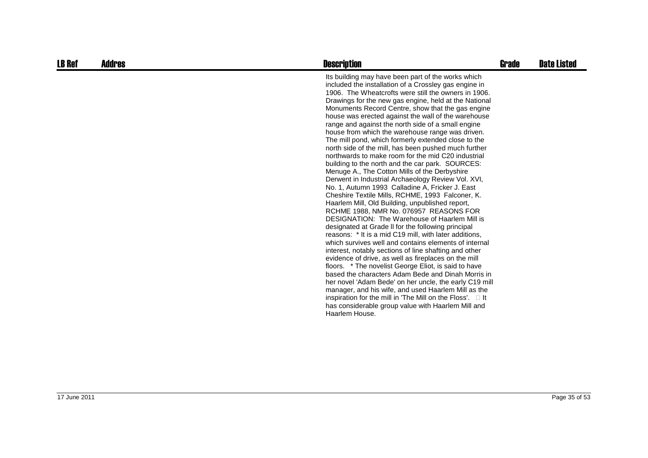| Its building may have been part of the works which<br>included the installation of a Crossley gas engine in                                                                                                                                                                                                                                                                                                                                                                                                                                                                                                                                                                                                                                                                                                                                                                                                                                                                                                                                                                                                                                                                                                                                                                                                                                                                                                                                                                                                                                                                              |  |
|------------------------------------------------------------------------------------------------------------------------------------------------------------------------------------------------------------------------------------------------------------------------------------------------------------------------------------------------------------------------------------------------------------------------------------------------------------------------------------------------------------------------------------------------------------------------------------------------------------------------------------------------------------------------------------------------------------------------------------------------------------------------------------------------------------------------------------------------------------------------------------------------------------------------------------------------------------------------------------------------------------------------------------------------------------------------------------------------------------------------------------------------------------------------------------------------------------------------------------------------------------------------------------------------------------------------------------------------------------------------------------------------------------------------------------------------------------------------------------------------------------------------------------------------------------------------------------------|--|
| 1906. The Wheatcrofts were still the owners in 1906.<br>Drawings for the new gas engine, held at the National<br>Monuments Record Centre, show that the gas engine<br>house was erected against the wall of the warehouse<br>range and against the north side of a small engine<br>house from which the warehouse range was driven.<br>The mill pond, which formerly extended close to the<br>north side of the mill, has been pushed much further<br>northwards to make room for the mid C20 industrial<br>building to the north and the car park. SOURCES:<br>Menuge A., The Cotton Mills of the Derbyshire<br>Derwent in Industrial Archaeology Review Vol. XVI,<br>No. 1, Autumn 1993 Calladine A, Fricker J. East<br>Cheshire Textile Mills, RCHME, 1993 Falconer, K.<br>Haarlem Mill, Old Building, unpublished report,<br>RCHME 1988, NMR No. 076957 REASONS FOR<br>DESIGNATION: The Warehouse of Haarlem Mill is<br>designated at Grade II for the following principal<br>reasons: * It is a mid C19 mill, with later additions,<br>which survives well and contains elements of internal<br>interest, notably sections of line shafting and other<br>evidence of drive, as well as fireplaces on the mill<br>floors. * The novelist George Eliot, is said to have<br>based the characters Adam Bede and Dinah Morris in<br>her novel 'Adam Bede' on her uncle, the early C19 mill<br>manager, and his wife, and used Haarlem Mill as the<br>inspiration for the mill in 'The Mill on the Floss'.<br>-lt<br>has considerable group value with Haarlem Mill and<br>Haarlem House. |  |

17 June 2011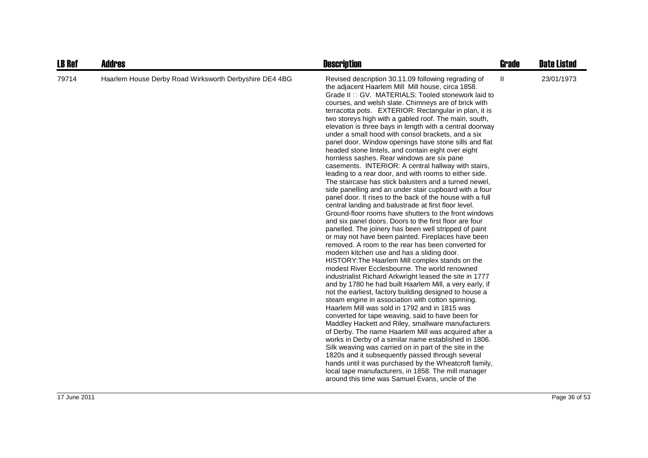| <b>LB Ref</b> | <b>Addres</b>                                          | <b>Description</b>                                                                                                                                                                                                                                                                                                                                                                                                                                                                                                                                                                                                                                                                                                                                                                                                                                                                                                                                                                                                                                                                                                                                                                                                                                                                                                                                                                                                                                                                                                                                                                                                                                                                                                                                                                                                                                                                                                                                                                                                                                                                                                                                                                                                           | <b>Grade</b> | <b>Date Listed</b> |
|---------------|--------------------------------------------------------|------------------------------------------------------------------------------------------------------------------------------------------------------------------------------------------------------------------------------------------------------------------------------------------------------------------------------------------------------------------------------------------------------------------------------------------------------------------------------------------------------------------------------------------------------------------------------------------------------------------------------------------------------------------------------------------------------------------------------------------------------------------------------------------------------------------------------------------------------------------------------------------------------------------------------------------------------------------------------------------------------------------------------------------------------------------------------------------------------------------------------------------------------------------------------------------------------------------------------------------------------------------------------------------------------------------------------------------------------------------------------------------------------------------------------------------------------------------------------------------------------------------------------------------------------------------------------------------------------------------------------------------------------------------------------------------------------------------------------------------------------------------------------------------------------------------------------------------------------------------------------------------------------------------------------------------------------------------------------------------------------------------------------------------------------------------------------------------------------------------------------------------------------------------------------------------------------------------------------|--------------|--------------------|
| 79714         | Haarlem House Derby Road Wirksworth Derbyshire DE4 4BG | Revised description 30.11.09 following regrading of<br>the adjacent Haarlem Mill Mill house, circa 1858.<br>Grade II GV. MATERIALS: Tooled stonework laid to<br>courses, and welsh slate. Chimneys are of brick with<br>terracotta pots. EXTERIOR: Rectangular in plan, it is<br>two storeys high with a gabled roof. The main, south,<br>elevation is three bays in length with a central doorway<br>under a small hood with consol brackets, and a six<br>panel door. Window openings have stone sills and flat<br>headed stone lintels, and contain eight over eight<br>hornless sashes. Rear windows are six pane<br>casements. INTERIOR: A central hallway with stairs,<br>leading to a rear door, and with rooms to either side.<br>The staircase has stick balusters and a turned newel.<br>side panelling and an under stair cupboard with a four<br>panel door. It rises to the back of the house with a full<br>central landing and balustrade at first floor level.<br>Ground-floor rooms have shutters to the front windows<br>and six panel doors. Doors to the first floor are four<br>panelled. The joinery has been well stripped of paint<br>or may not have been painted. Fireplaces have been<br>removed. A room to the rear has been converted for<br>modern kitchen use and has a sliding door.<br>HISTORY: The Haarlem Mill complex stands on the<br>modest River Ecclesbourne. The world renowned<br>industrialist Richard Arkwright leased the site in 1777<br>and by 1780 he had built Haarlem Mill, a very early, if<br>not the earliest, factory building designed to house a<br>steam engine in association with cotton spinning.<br>Haarlem Mill was sold in 1792 and in 1815 was<br>converted for tape weaving, said to have been for<br>Maddley Hackett and Riley, smallware manufacturers<br>of Derby. The name Haarlem Mill was acquired after a<br>works in Derby of a similar name established in 1806.<br>Silk weaving was carried on in part of the site in the<br>1820s and it subsequently passed through several<br>hands until it was purchased by the Wheatcroft family,<br>local tape manufacturers, in 1858. The mill manager<br>around this time was Samuel Evans, uncle of the | Ш            | 23/01/1973         |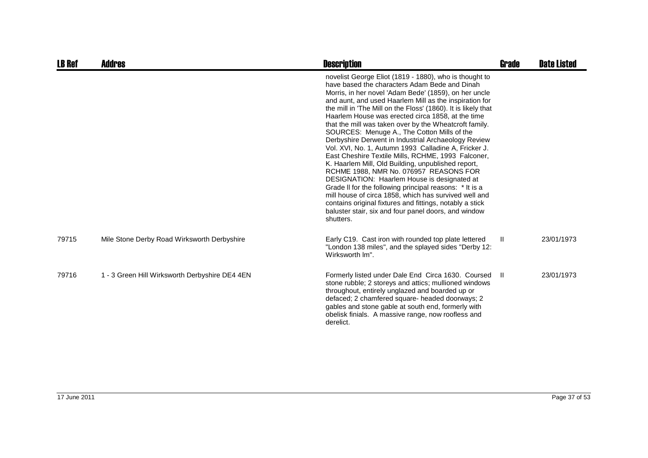| <b>LB Ref</b> | Addres                                         | <b>Description</b>                                                                                                                                                                                                                                                                                                                                                                                                                                                                                                                                                                                                                                                                                                                                                                                                                                                                                                                                                                                                                 | Grade | <b>Date Listed</b> |
|---------------|------------------------------------------------|------------------------------------------------------------------------------------------------------------------------------------------------------------------------------------------------------------------------------------------------------------------------------------------------------------------------------------------------------------------------------------------------------------------------------------------------------------------------------------------------------------------------------------------------------------------------------------------------------------------------------------------------------------------------------------------------------------------------------------------------------------------------------------------------------------------------------------------------------------------------------------------------------------------------------------------------------------------------------------------------------------------------------------|-------|--------------------|
|               |                                                | novelist George Eliot (1819 - 1880), who is thought to<br>have based the characters Adam Bede and Dinah<br>Morris, in her novel 'Adam Bede' (1859), on her uncle<br>and aunt, and used Haarlem Mill as the inspiration for<br>the mill in 'The Mill on the Floss' (1860). It is likely that<br>Haarlem House was erected circa 1858, at the time<br>that the mill was taken over by the Wheatcroft family.<br>SOURCES: Menuge A., The Cotton Mills of the<br>Derbyshire Derwent in Industrial Archaeology Review<br>Vol. XVI, No. 1, Autumn 1993 Calladine A, Fricker J.<br>East Cheshire Textile Mills, RCHME, 1993 Falconer,<br>K. Haarlem Mill, Old Building, unpublished report,<br>RCHME 1988, NMR No. 076957 REASONS FOR<br>DESIGNATION: Haarlem House is designated at<br>Grade II for the following principal reasons: * It is a<br>mill house of circa 1858, which has survived well and<br>contains original fixtures and fittings, notably a stick<br>baluster stair, six and four panel doors, and window<br>shutters. |       |                    |
| 79715         | Mile Stone Derby Road Wirksworth Derbyshire    | Early C19. Cast iron with rounded top plate lettered<br>"London 138 miles", and the splayed sides "Derby 12:<br>Wirksworth Im".                                                                                                                                                                                                                                                                                                                                                                                                                                                                                                                                                                                                                                                                                                                                                                                                                                                                                                    | Ш.    | 23/01/1973         |
| 79716         | 1 - 3 Green Hill Wirksworth Derbyshire DE4 4EN | Formerly listed under Dale End Circa 1630. Coursed II<br>stone rubble; 2 storeys and attics; mullioned windows<br>throughout, entirely unglazed and boarded up or<br>defaced; 2 chamfered square- headed doorways; 2<br>gables and stone gable at south end, formerly with<br>obelisk finials. A massive range, now roofless and<br>derelict.                                                                                                                                                                                                                                                                                                                                                                                                                                                                                                                                                                                                                                                                                      |       | 23/01/1973         |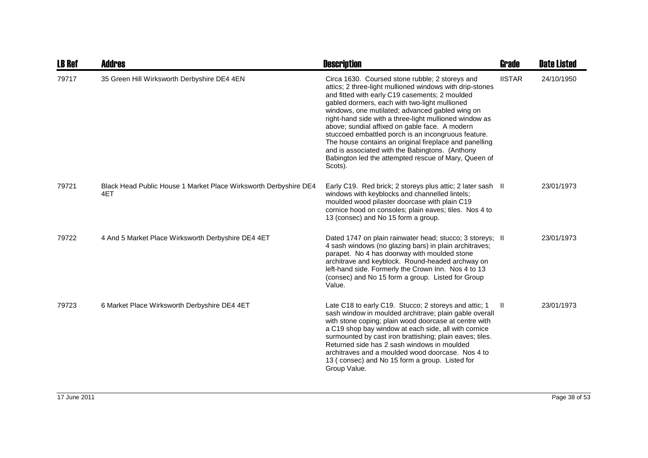| <b>LB Ref</b> | <b>Addres</b>                                                           | <b>Description</b>                                                                                                                                                                                                                                                                                                                                                                                                                                                                                                                                                                                                   | <b>Grade</b>  | <b>Date Listed</b> |
|---------------|-------------------------------------------------------------------------|----------------------------------------------------------------------------------------------------------------------------------------------------------------------------------------------------------------------------------------------------------------------------------------------------------------------------------------------------------------------------------------------------------------------------------------------------------------------------------------------------------------------------------------------------------------------------------------------------------------------|---------------|--------------------|
| 79717         | 35 Green Hill Wirksworth Derbyshire DE4 4EN                             | Circa 1630. Coursed stone rubble; 2 storeys and<br>attics; 2 three-light mullioned windows with drip-stones<br>and fitted with early C19 casements; 2 moulded<br>gabled dormers, each with two-light mullioned<br>windows, one mutilated; advanced gabled wing on<br>right-hand side with a three-light mullioned window as<br>above; sundial affixed on gable face. A modern<br>stuccoed embattled porch is an incongruous feature.<br>The house contains an original fireplace and panelling<br>and is associated with the Babingtons. (Anthony<br>Babington led the attempted rescue of Mary, Queen of<br>Scots). | <b>IISTAR</b> | 24/10/1950         |
| 79721         | Black Head Public House 1 Market Place Wirksworth Derbyshire DE4<br>4ET | Early C19. Red brick; 2 storeys plus attic; 2 later sash II<br>windows with keyblocks and channelled lintels;<br>moulded wood pilaster doorcase with plain C19<br>cornice hood on consoles; plain eaves; tiles. Nos 4 to<br>13 (consec) and No 15 form a group.                                                                                                                                                                                                                                                                                                                                                      |               | 23/01/1973         |
| 79722         | 4 And 5 Market Place Wirksworth Derbyshire DE4 4ET                      | Dated 1747 on plain rainwater head; stucco; 3 storeys; II<br>4 sash windows (no glazing bars) in plain architraves;<br>parapet. No 4 has doorway with moulded stone<br>architrave and keyblock. Round-headed archway on<br>left-hand side. Formerly the Crown Inn. Nos 4 to 13<br>(consec) and No 15 form a group. Listed for Group<br>Value.                                                                                                                                                                                                                                                                        |               | 23/01/1973         |
| 79723         | 6 Market Place Wirksworth Derbyshire DE4 4ET                            | Late C18 to early C19. Stucco; 2 storeys and attic; 1<br>sash window in moulded architrave; plain gable overall<br>with stone coping; plain wood doorcase at centre with<br>a C19 shop bay window at each side, all with cornice<br>surmounted by cast iron brattishing; plain eaves; tiles.<br>Returned side has 2 sash windows in moulded<br>architraves and a moulded wood doorcase. Nos 4 to<br>13 (consec) and No 15 form a group. Listed for<br>Group Value.                                                                                                                                                   | Ш             | 23/01/1973         |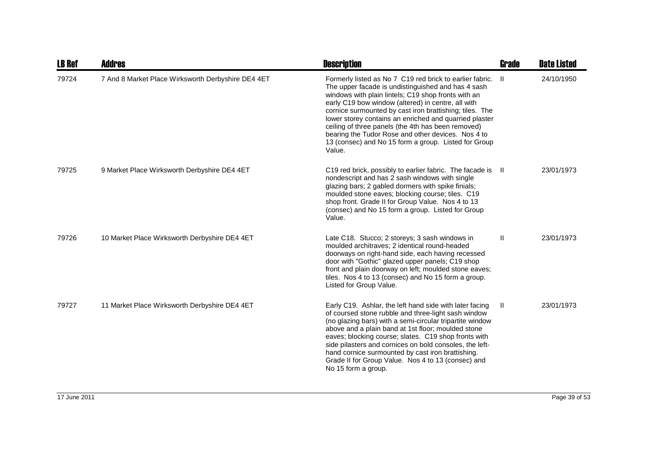| <b>LB Ref</b> | <b>Addres</b>                                      | <b>Description</b>                                                                                                                                                                                                                                                                                                                                                                                                                                                                                                             | Grade        | <b>Date Listed</b> |
|---------------|----------------------------------------------------|--------------------------------------------------------------------------------------------------------------------------------------------------------------------------------------------------------------------------------------------------------------------------------------------------------------------------------------------------------------------------------------------------------------------------------------------------------------------------------------------------------------------------------|--------------|--------------------|
| 79724         | 7 And 8 Market Place Wirksworth Derbyshire DE4 4ET | Formerly listed as No 7 C19 red brick to earlier fabric.<br>The upper facade is undistinguished and has 4 sash<br>windows with plain lintels; C19 shop fronts with an<br>early C19 bow window (altered) in centre, all with<br>cornice surmounted by cast iron brattishing; tiles. The<br>lower storey contains an enriched and quarried plaster<br>ceiling of three panels (the 4th has been removed)<br>bearing the Tudor Rose and other devices. Nos 4 to<br>13 (consec) and No 15 form a group. Listed for Group<br>Value. | H.           | 24/10/1950         |
| 79725         | 9 Market Place Wirksworth Derbyshire DE4 4ET       | C <sub>19</sub> red brick, possibly to earlier fabric. The facade is<br>nondescript and has 2 sash windows with single<br>glazing bars; 2 gabled dormers with spike finials;<br>moulded stone eaves; blocking course; tiles. C19<br>shop front. Grade II for Group Value. Nos 4 to 13<br>(consec) and No 15 form a group. Listed for Group<br>Value.                                                                                                                                                                           | H.           | 23/01/1973         |
| 79726         | 10 Market Place Wirksworth Derbyshire DE4 4ET      | Late C18. Stucco; 2 storeys; 3 sash windows in<br>moulded architraves; 2 identical round-headed<br>doorways on right-hand side, each having recessed<br>door with "Gothic" glazed upper panels; C19 shop<br>front and plain doorway on left; moulded stone eaves;<br>tiles. Nos 4 to 13 (consec) and No 15 form a group.<br>Listed for Group Value.                                                                                                                                                                            | $\mathbf{H}$ | 23/01/1973         |
| 79727         | 11 Market Place Wirksworth Derbyshire DE4 4ET      | Early C19. Ashlar, the left hand side with later facing<br>of coursed stone rubble and three-light sash window<br>(no glazing bars) with a semi-circular tripartite window<br>above and a plain band at 1st floor; moulded stone<br>eaves; blocking course; slates. C19 shop fronts with<br>side pilasters and cornices on bold consoles, the left-<br>hand cornice surmounted by cast iron brattishing.<br>Grade II for Group Value. Nos 4 to 13 (consec) and<br>No 15 form a group.                                          | Ш.           | 23/01/1973         |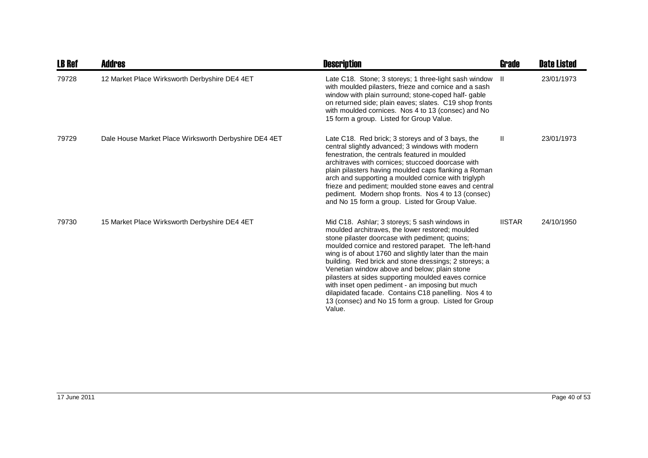| <b>LB Ref</b> | <b>Addres</b>                                         | <b>Description</b>                                                                                                                                                                                                                                                                                                                                                                                                                                                                                                                                                                                                | Grade         | <b>Date Listed</b> |
|---------------|-------------------------------------------------------|-------------------------------------------------------------------------------------------------------------------------------------------------------------------------------------------------------------------------------------------------------------------------------------------------------------------------------------------------------------------------------------------------------------------------------------------------------------------------------------------------------------------------------------------------------------------------------------------------------------------|---------------|--------------------|
| 79728         | 12 Market Place Wirksworth Derbyshire DE4 4ET         | Late C18. Stone; 3 storeys; 1 three-light sash window II<br>with moulded pilasters, frieze and cornice and a sash<br>window with plain surround; stone-coped half- gable<br>on returned side; plain eaves; slates. C19 shop fronts<br>with moulded cornices. Nos 4 to 13 (consec) and No<br>15 form a group. Listed for Group Value.                                                                                                                                                                                                                                                                              |               | 23/01/1973         |
| 79729         | Dale House Market Place Wirksworth Derbyshire DE4 4ET | Late C18. Red brick; 3 storeys and of 3 bays, the<br>central slightly advanced; 3 windows with modern<br>fenestration, the centrals featured in moulded<br>architraves with cornices; stuccoed doorcase with<br>plain pilasters having moulded caps flanking a Roman<br>arch and supporting a moulded cornice with triglyph<br>frieze and pediment; moulded stone eaves and central<br>pediment. Modern shop fronts. Nos 4 to 13 (consec)<br>and No 15 form a group. Listed for Group Value.                                                                                                                      | Ш             | 23/01/1973         |
| 79730         | 15 Market Place Wirksworth Derbyshire DE4 4ET         | Mid C18. Ashlar; 3 storeys; 5 sash windows in<br>moulded architraves, the lower restored; moulded<br>stone pilaster doorcase with pediment; quoins;<br>moulded cornice and restored parapet. The left-hand<br>wing is of about 1760 and slightly later than the main<br>building. Red brick and stone dressings; 2 storeys; a<br>Venetian window above and below; plain stone<br>pilasters at sides supporting moulded eaves cornice<br>with inset open pediment - an imposing but much<br>dilapidated facade. Contains C18 panelling. Nos 4 to<br>13 (consec) and No 15 form a group. Listed for Group<br>Value. | <b>IISTAR</b> | 24/10/1950         |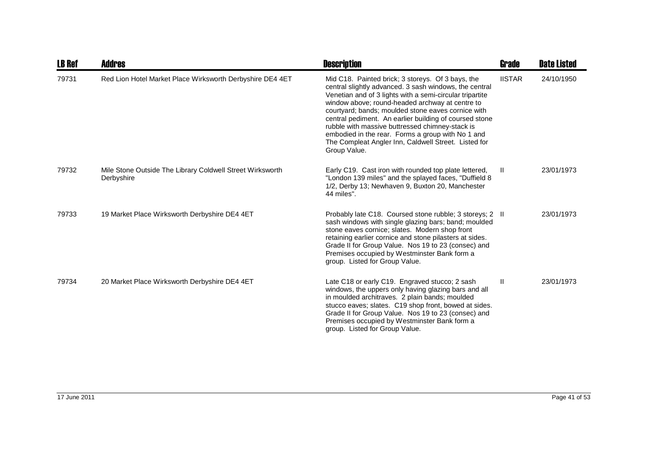| <b>LB Ref</b> | <b>Addres</b>                                                           | <b>Description</b>                                                                                                                                                                                                                                                                                                                                                                                                                                                                                                         | Grade         | <b>Date Listed</b> |
|---------------|-------------------------------------------------------------------------|----------------------------------------------------------------------------------------------------------------------------------------------------------------------------------------------------------------------------------------------------------------------------------------------------------------------------------------------------------------------------------------------------------------------------------------------------------------------------------------------------------------------------|---------------|--------------------|
| 79731         | Red Lion Hotel Market Place Wirksworth Derbyshire DE4 4ET               | Mid C18. Painted brick; 3 storeys. Of 3 bays, the<br>central slightly advanced. 3 sash windows, the central<br>Venetian and of 3 lights with a semi-circular tripartite<br>window above; round-headed archway at centre to<br>courtyard; bands; moulded stone eaves cornice with<br>central pediment. An earlier building of coursed stone<br>rubble with massive buttressed chimney-stack is<br>embodied in the rear. Forms a group with No 1 and<br>The Compleat Angler Inn, Caldwell Street. Listed for<br>Group Value. | <b>IISTAR</b> | 24/10/1950         |
| 79732         | Mile Stone Outside The Library Coldwell Street Wirksworth<br>Derbyshire | Early C19. Cast iron with rounded top plate lettered,<br>"London 139 miles" and the splayed faces, "Duffield 8<br>1/2, Derby 13; Newhaven 9, Buxton 20, Manchester<br>44 miles".                                                                                                                                                                                                                                                                                                                                           | H.            | 23/01/1973         |
| 79733         | 19 Market Place Wirksworth Derbyshire DE4 4ET                           | Probably late C18. Coursed stone rubble; 3 storeys; 2 II<br>sash windows with single glazing bars; band; moulded<br>stone eaves cornice; slates. Modern shop front<br>retaining earlier cornice and stone pilasters at sides.<br>Grade II for Group Value. Nos 19 to 23 (consec) and<br>Premises occupied by Westminster Bank form a<br>group. Listed for Group Value.                                                                                                                                                     |               | 23/01/1973         |
| 79734         | 20 Market Place Wirksworth Derbyshire DE4 4ET                           | Late C18 or early C19. Engraved stucco; 2 sash<br>windows, the uppers only having glazing bars and all<br>in moulded architraves. 2 plain bands; moulded<br>stucco eaves; slates. C19 shop front, bowed at sides.<br>Grade II for Group Value. Nos 19 to 23 (consec) and<br>Premises occupied by Westminster Bank form a<br>group. Listed for Group Value.                                                                                                                                                                 | Ш             | 23/01/1973         |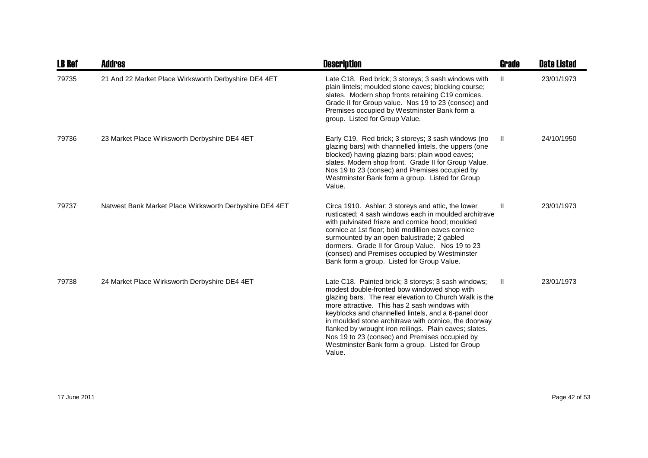| <b>LB Ref</b> | <b>Addres</b>                                           | <b>Description</b>                                                                                                                                                                                                                                                                                                                                                                                                                                                                                       | Grade        | <b>Date Listed</b> |
|---------------|---------------------------------------------------------|----------------------------------------------------------------------------------------------------------------------------------------------------------------------------------------------------------------------------------------------------------------------------------------------------------------------------------------------------------------------------------------------------------------------------------------------------------------------------------------------------------|--------------|--------------------|
| 79735         | 21 And 22 Market Place Wirksworth Derbyshire DE4 4ET    | Late C18. Red brick; 3 storeys; 3 sash windows with<br>plain lintels; moulded stone eaves; blocking course;<br>slates. Modern shop fronts retaining C19 cornices.<br>Grade II for Group value. Nos 19 to 23 (consec) and<br>Premises occupied by Westminster Bank form a<br>group. Listed for Group Value.                                                                                                                                                                                               | $\mathbf{I}$ | 23/01/1973         |
| 79736         | 23 Market Place Wirksworth Derbyshire DE4 4ET           | Early C19. Red brick; 3 storeys; 3 sash windows (no<br>glazing bars) with channelled lintels, the uppers (one<br>blocked) having glazing bars; plain wood eaves;<br>slates. Modern shop front. Grade II for Group Value.<br>Nos 19 to 23 (consec) and Premises occupied by<br>Westminster Bank form a group. Listed for Group<br>Value.                                                                                                                                                                  | -II          | 24/10/1950         |
| 79737         | Natwest Bank Market Place Wirksworth Derbyshire DE4 4ET | Circa 1910. Ashlar; 3 storeys and attic, the lower<br>rusticated; 4 sash windows each in moulded architrave<br>with pulvinated frieze and cornice hood; moulded<br>cornice at 1st floor; bold modillion eaves cornice<br>surmounted by an open balustrade; 2 gabled<br>dormers. Grade II for Group Value. Nos 19 to 23<br>(consec) and Premises occupied by Westminster<br>Bank form a group. Listed for Group Value.                                                                                    | H            | 23/01/1973         |
| 79738         | 24 Market Place Wirksworth Derbyshire DE4 4ET           | Late C18. Painted brick; 3 storeys; 3 sash windows;<br>modest double-fronted bow windowed shop with<br>glazing bars. The rear elevation to Church Walk is the<br>more attractive. This has 2 sash windows with<br>keyblocks and channelled lintels, and a 6-panel door<br>in moulded stone architrave with cornice, the doorway<br>flanked by wrought iron reilings. Plain eaves; slates.<br>Nos 19 to 23 (consec) and Premises occupied by<br>Westminster Bank form a group. Listed for Group<br>Value. | $\mathbf{H}$ | 23/01/1973         |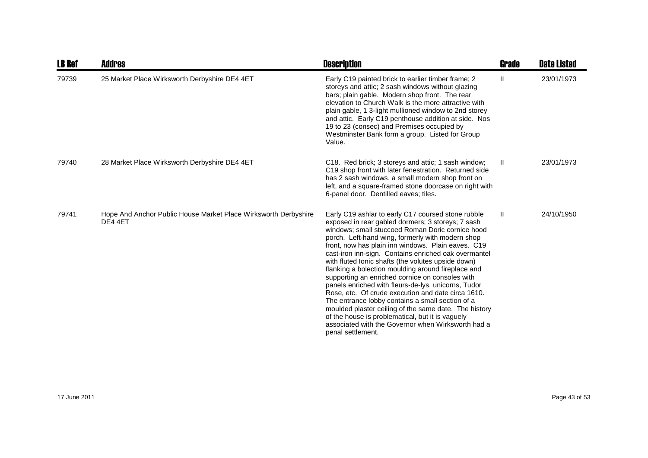| <b>LB Ref</b> | <b>Addres</b>                                                              | <b>Description</b>                                                                                                                                                                                                                                                                                                                                                                                                                                                                                                                                                                                                                                                                                                                                                                                                                                    | <b>Grade</b> | <b>Date Listed</b> |
|---------------|----------------------------------------------------------------------------|-------------------------------------------------------------------------------------------------------------------------------------------------------------------------------------------------------------------------------------------------------------------------------------------------------------------------------------------------------------------------------------------------------------------------------------------------------------------------------------------------------------------------------------------------------------------------------------------------------------------------------------------------------------------------------------------------------------------------------------------------------------------------------------------------------------------------------------------------------|--------------|--------------------|
| 79739         | 25 Market Place Wirksworth Derbyshire DE4 4ET                              | Early C19 painted brick to earlier timber frame; 2<br>storeys and attic; 2 sash windows without glazing<br>bars; plain gable. Modern shop front. The rear<br>elevation to Church Walk is the more attractive with<br>plain gable, 1 3-light mullioned window to 2nd storey<br>and attic. Early C19 penthouse addition at side. Nos<br>19 to 23 (consec) and Premises occupied by<br>Westminster Bank form a group. Listed for Group<br>Value.                                                                                                                                                                                                                                                                                                                                                                                                         | Ш            | 23/01/1973         |
| 79740         | 28 Market Place Wirksworth Derbyshire DE4 4ET                              | C18. Red brick; 3 storeys and attic; 1 sash window;<br>C19 shop front with later fenestration. Returned side<br>has 2 sash windows, a small modern shop front on<br>left, and a square-framed stone doorcase on right with<br>6-panel door. Dentilled eaves; tiles.                                                                                                                                                                                                                                                                                                                                                                                                                                                                                                                                                                                   | H            | 23/01/1973         |
| 79741         | Hope And Anchor Public House Market Place Wirksworth Derbyshire<br>DE4 4ET | Early C19 ashlar to early C17 coursed stone rubble<br>exposed in rear gabled dormers; 3 storeys; 7 sash<br>windows; small stuccoed Roman Doric cornice hood<br>porch. Left-hand wing, formerly with modern shop<br>front, now has plain inn windows. Plain eaves. C19<br>cast-iron inn-sign. Contains enriched oak overmantel<br>with fluted lonic shafts (the volutes upside down)<br>flanking a bolection moulding around fireplace and<br>supporting an enriched cornice on consoles with<br>panels enriched with fleurs-de-lys, unicorns, Tudor<br>Rose, etc. Of crude execution and date circa 1610.<br>The entrance lobby contains a small section of a<br>moulded plaster ceiling of the same date. The history<br>of the house is problematical, but it is vaguely<br>associated with the Governor when Wirksworth had a<br>penal settlement. | $\mathbf{H}$ | 24/10/1950         |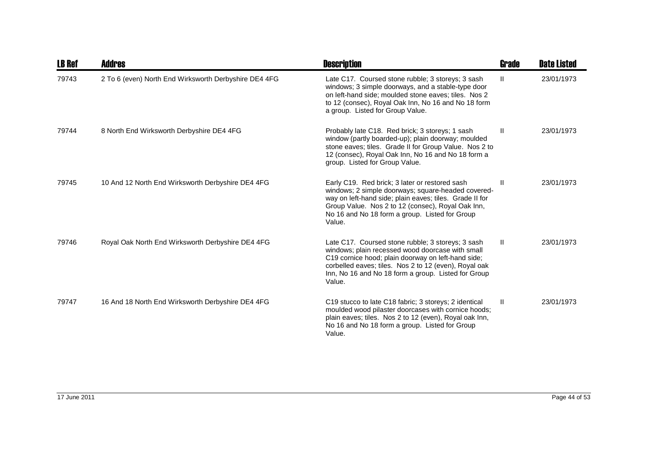| <b>LB Ref</b> | <b>Addres</b>                                         | <b>Description</b>                                                                                                                                                                                                                                                                    | Grade         | <b>Date Listed</b> |
|---------------|-------------------------------------------------------|---------------------------------------------------------------------------------------------------------------------------------------------------------------------------------------------------------------------------------------------------------------------------------------|---------------|--------------------|
| 79743         | 2 To 6 (even) North End Wirksworth Derbyshire DE4 4FG | Late C17. Coursed stone rubble; 3 storeys; 3 sash<br>windows; 3 simple doorways, and a stable-type door<br>on left-hand side; moulded stone eaves; tiles. Nos 2<br>to 12 (consec), Royal Oak Inn, No 16 and No 18 form<br>a group. Listed for Group Value.                            | $\mathbf{II}$ | 23/01/1973         |
| 79744         | 8 North End Wirksworth Derbyshire DE4 4FG             | Probably late C18. Red brick; 3 storeys; 1 sash<br>window (partly boarded-up); plain doorway; moulded<br>stone eaves; tiles. Grade II for Group Value. Nos 2 to<br>12 (consec), Royal Oak Inn, No 16 and No 18 form a<br>group. Listed for Group Value.                               | $\mathbf{H}$  | 23/01/1973         |
| 79745         | 10 And 12 North End Wirksworth Derbyshire DE4 4FG     | Early C19. Red brick; 3 later or restored sash<br>windows; 2 simple doorways; square-headed covered-<br>way on left-hand side; plain eaves; tiles. Grade II for<br>Group Value. Nos 2 to 12 (consec), Royal Oak Inn,<br>No 16 and No 18 form a group. Listed for Group<br>Value.      | Ш             | 23/01/1973         |
| 79746         | Royal Oak North End Wirksworth Derbyshire DE4 4FG     | Late C17. Coursed stone rubble; 3 storeys; 3 sash<br>windows; plain recessed wood doorcase with small<br>C19 cornice hood; plain doorway on left-hand side;<br>corbelled eaves; tiles. Nos 2 to 12 (even), Royal oak<br>Inn, No 16 and No 18 form a group. Listed for Group<br>Value. | $\mathbf{H}$  | 23/01/1973         |
| 79747         | 16 And 18 North End Wirksworth Derbyshire DE4 4FG     | C19 stucco to late C18 fabric; 3 storeys; 2 identical<br>moulded wood pilaster doorcases with cornice hoods;<br>plain eaves; tiles. Nos 2 to 12 (even), Royal oak Inn,<br>No 16 and No 18 form a group. Listed for Group<br>Value.                                                    | Ш.            | 23/01/1973         |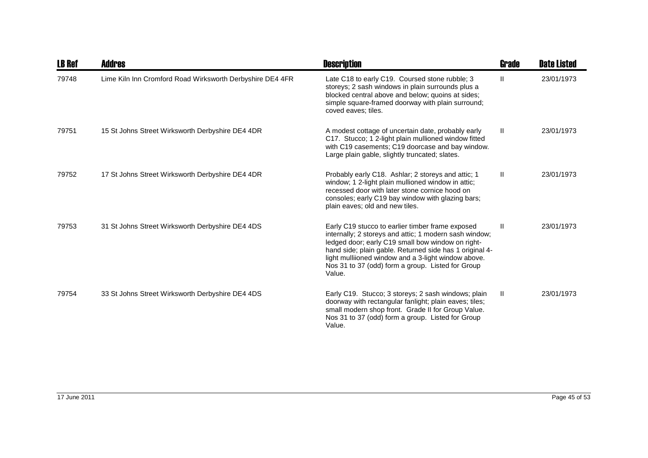| <b>LB Ref</b> | Addres                                                    | <b>Description</b>                                                                                                                                                                                                                                                                                                                               | Grade        | <b>Date Listed</b> |
|---------------|-----------------------------------------------------------|--------------------------------------------------------------------------------------------------------------------------------------------------------------------------------------------------------------------------------------------------------------------------------------------------------------------------------------------------|--------------|--------------------|
| 79748         | Lime Kiln Inn Cromford Road Wirksworth Derbyshire DE4 4FR | Late C18 to early C19. Coursed stone rubble; 3<br>storeys; 2 sash windows in plain surrounds plus a<br>blocked central above and below; quoins at sides;<br>simple square-framed doorway with plain surround;<br>coved eaves; tiles.                                                                                                             | $\mathbf{H}$ | 23/01/1973         |
| 79751         | 15 St Johns Street Wirksworth Derbyshire DE4 4DR          | A modest cottage of uncertain date, probably early<br>C17. Stucco; 1 2-light plain mullioned window fitted<br>with C19 casements; C19 doorcase and bay window.<br>Large plain gable, slightly truncated; slates.                                                                                                                                 | Ш.           | 23/01/1973         |
| 79752         | 17 St Johns Street Wirksworth Derbyshire DE4 4DR          | Probably early C18. Ashlar; 2 storeys and attic; 1<br>window; 1 2-light plain mullioned window in attic;<br>recessed door with later stone cornice hood on<br>consoles; early C19 bay window with glazing bars;<br>plain eaves; old and new tiles.                                                                                               | $\mathbf{H}$ | 23/01/1973         |
| 79753         | 31 St Johns Street Wirksworth Derbyshire DE4 4DS          | Early C19 stucco to earlier timber frame exposed<br>internally; 2 storeys and attic; 1 modern sash window;<br>ledged door; early C19 small bow window on right-<br>hand side; plain gable. Returned side has 1 original 4-<br>light mulliioned window and a 3-light window above.<br>Nos 31 to 37 (odd) form a group. Listed for Group<br>Value. | Ш            | 23/01/1973         |
| 79754         | 33 St Johns Street Wirksworth Derbyshire DE4 4DS          | Early C19. Stucco; 3 storeys; 2 sash windows; plain<br>doorway with rectangular fanlight; plain eaves; tiles;<br>small modern shop front. Grade II for Group Value.<br>Nos 31 to 37 (odd) form a group. Listed for Group<br>Value.                                                                                                               | $\mathbf{H}$ | 23/01/1973         |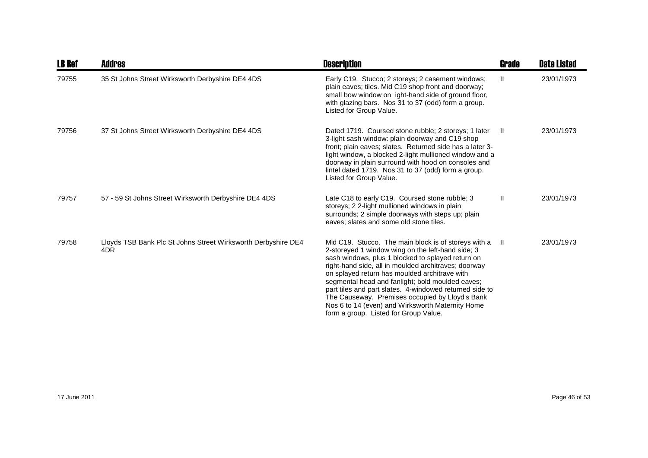| <b>LB Ref</b> | <b>Addres</b>                                                        | <b>Description</b>                                                                                                                                                                                                                                                                                                                                                                                                                                                                                                                        | Grade        | <b>Date Listed</b> |
|---------------|----------------------------------------------------------------------|-------------------------------------------------------------------------------------------------------------------------------------------------------------------------------------------------------------------------------------------------------------------------------------------------------------------------------------------------------------------------------------------------------------------------------------------------------------------------------------------------------------------------------------------|--------------|--------------------|
| 79755         | 35 St Johns Street Wirksworth Derbyshire DE4 4DS                     | Early C19. Stucco; 2 storeys; 2 casement windows;<br>plain eaves; tiles. Mid C19 shop front and doorway;<br>small bow window on ight-hand side of ground floor,<br>with glazing bars. Nos 31 to 37 (odd) form a group.<br>Listed for Group Value.                                                                                                                                                                                                                                                                                         | $\mathbf{H}$ | 23/01/1973         |
| 79756         | 37 St Johns Street Wirksworth Derbyshire DE4 4DS                     | Dated 1719. Coursed stone rubble; 2 storeys; 1 later<br>3-light sash window: plain doorway and C19 shop<br>front; plain eaves; slates. Returned side has a later 3-<br>light window, a blocked 2-light mullioned window and a<br>doorway in plain surround with hood on consoles and<br>lintel dated 1719. Nos 31 to 37 (odd) form a group.<br>Listed for Group Value.                                                                                                                                                                    | - 11         | 23/01/1973         |
| 79757         | 57 - 59 St Johns Street Wirksworth Derbyshire DE4 4DS                | Late C18 to early C19. Coursed stone rubble; 3<br>storeys; 2 2-light mullioned windows in plain<br>surrounds; 2 simple doorways with steps up; plain<br>eaves; slates and some old stone tiles.                                                                                                                                                                                                                                                                                                                                           | $\mathbf{H}$ | 23/01/1973         |
| 79758         | Lloyds TSB Bank Plc St Johns Street Wirksworth Derbyshire DE4<br>4DR | Mid C19. Stucco. The main block is of storeys with a II<br>2-storeyed 1 window wing on the left-hand side; 3<br>sash windows, plus 1 blocked to splayed return on<br>right-hand side, all in moulded architraves; doorway<br>on splayed return has moulded architrave with<br>segmental head and fanlight; bold moulded eaves;<br>part tiles and part slates. 4-windowed returned side to<br>The Causeway. Premises occupied by Lloyd's Bank<br>Nos 6 to 14 (even) and Wirksworth Maternity Home<br>form a group. Listed for Group Value. |              | 23/01/1973         |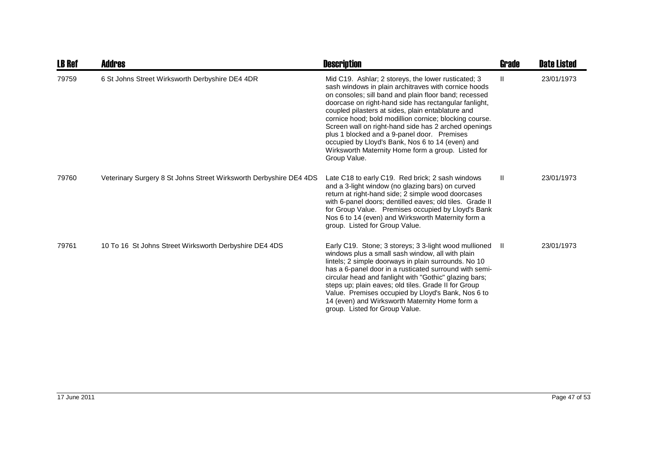| <b>LB Ref</b> | <b>Addres</b>                                                      | <b>Description</b>                                                                                                                                                                                                                                                                                                                                                                                                                                                                                                                                                            | Grade | <b>Date Listed</b> |
|---------------|--------------------------------------------------------------------|-------------------------------------------------------------------------------------------------------------------------------------------------------------------------------------------------------------------------------------------------------------------------------------------------------------------------------------------------------------------------------------------------------------------------------------------------------------------------------------------------------------------------------------------------------------------------------|-------|--------------------|
| 79759         | 6 St Johns Street Wirksworth Derbyshire DE4 4DR                    | Mid C19. Ashlar; 2 storeys, the lower rusticated; 3<br>sash windows in plain architraves with cornice hoods<br>on consoles; sill band and plain floor band; recessed<br>doorcase on right-hand side has rectangular fanlight,<br>coupled pilasters at sides, plain entablature and<br>cornice hood; bold modillion cornice; blocking course.<br>Screen wall on right-hand side has 2 arched openings<br>plus 1 blocked and a 9-panel door. Premises<br>occupied by Lloyd's Bank, Nos 6 to 14 (even) and<br>Wirksworth Maternity Home form a group. Listed for<br>Group Value. | Ш     | 23/01/1973         |
| 79760         | Veterinary Surgery 8 St Johns Street Wirksworth Derbyshire DE4 4DS | Late C18 to early C19. Red brick; 2 sash windows<br>and a 3-light window (no glazing bars) on curved<br>return at right-hand side; 2 simple wood doorcases<br>with 6-panel doors; dentilled eaves; old tiles. Grade II<br>for Group Value. Premises occupied by Lloyd's Bank<br>Nos 6 to 14 (even) and Wirksworth Maternity form a<br>group. Listed for Group Value.                                                                                                                                                                                                          | Ш     | 23/01/1973         |
| 79761         | 10 To 16 St Johns Street Wirksworth Derbyshire DE4 4DS             | Early C19. Stone; 3 storeys; 3 3-light wood mullioned<br>windows plus a small sash window, all with plain<br>lintels; 2 simple doorways in plain surrounds. No 10<br>has a 6-panel door in a rusticated surround with semi-<br>circular head and fanlight with "Gothic" glazing bars;<br>steps up; plain eaves; old tiles. Grade II for Group<br>Value. Premises occupied by Lloyd's Bank, Nos 6 to<br>14 (even) and Wirksworth Maternity Home form a<br>group. Listed for Group Value.                                                                                       | - II  | 23/01/1973         |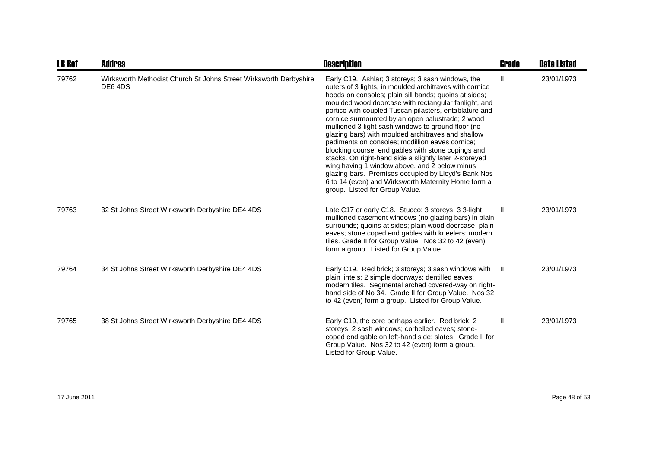| <b>LB Ref</b> | <b>Addres</b>                                                               | <b>Description</b>                                                                                                                                                                                                                                                                                                                                                                                                                                                                                                                                                                                                                                                                                                                                                                                                          | <b>Grade</b> | <b>Date Listed</b> |
|---------------|-----------------------------------------------------------------------------|-----------------------------------------------------------------------------------------------------------------------------------------------------------------------------------------------------------------------------------------------------------------------------------------------------------------------------------------------------------------------------------------------------------------------------------------------------------------------------------------------------------------------------------------------------------------------------------------------------------------------------------------------------------------------------------------------------------------------------------------------------------------------------------------------------------------------------|--------------|--------------------|
| 79762         | Wirksworth Methodist Church St Johns Street Wirksworth Derbyshire<br>DE64DS | Early C19. Ashlar; 3 storeys; 3 sash windows, the<br>outers of 3 lights, in moulded architraves with cornice<br>hoods on consoles; plain sill bands; quoins at sides;<br>moulded wood doorcase with rectangular fanlight, and<br>portico with coupled Tuscan pilasters, entablature and<br>cornice surmounted by an open balustrade; 2 wood<br>mullioned 3-light sash windows to ground floor (no<br>glazing bars) with moulded architraves and shallow<br>pediments on consoles; modillion eaves cornice;<br>blocking course; end gables with stone copings and<br>stacks. On right-hand side a slightly later 2-storeyed<br>wing having 1 window above, and 2 below minus<br>glazing bars. Premises occupied by Lloyd's Bank Nos<br>6 to 14 (even) and Wirksworth Maternity Home form a<br>group. Listed for Group Value. | $\mathbf{H}$ | 23/01/1973         |
| 79763         | 32 St Johns Street Wirksworth Derbyshire DE4 4DS                            | Late C17 or early C18. Stucco; 3 storeys; 3 3-light<br>mullioned casement windows (no glazing bars) in plain<br>surrounds; quoins at sides; plain wood doorcase; plain<br>eaves; stone coped end gables with kneelers; modern<br>tiles. Grade II for Group Value. Nos 32 to 42 (even)<br>form a group. Listed for Group Value.                                                                                                                                                                                                                                                                                                                                                                                                                                                                                              | Ш            | 23/01/1973         |
| 79764         | 34 St Johns Street Wirksworth Derbyshire DE4 4DS                            | Early C19. Red brick; 3 storeys; 3 sash windows with<br>plain lintels; 2 simple doorways; dentilled eaves;<br>modern tiles. Segmental arched covered-way on right-<br>hand side of No 34. Grade II for Group Value. Nos 32<br>to 42 (even) form a group. Listed for Group Value.                                                                                                                                                                                                                                                                                                                                                                                                                                                                                                                                            | - II         | 23/01/1973         |
| 79765         | 38 St Johns Street Wirksworth Derbyshire DE4 4DS                            | Early C19, the core perhaps earlier. Red brick; 2<br>storeys; 2 sash windows; corbelled eaves; stone-<br>coped end gable on left-hand side; slates. Grade II for<br>Group Value. Nos 32 to 42 (even) form a group.<br>Listed for Group Value.                                                                                                                                                                                                                                                                                                                                                                                                                                                                                                                                                                               | Ш            | 23/01/1973         |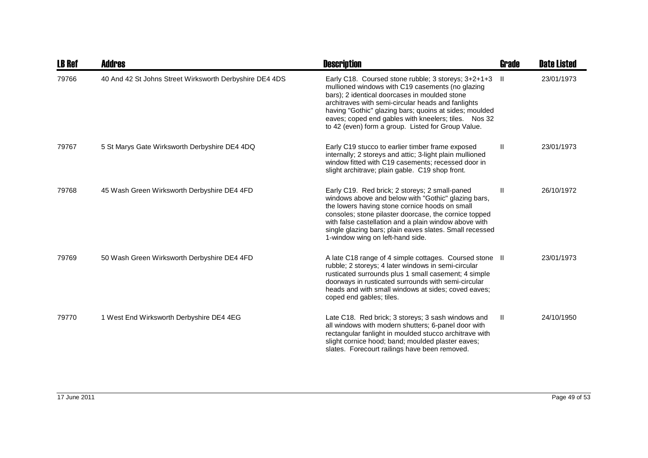| <b>LB Ref</b> | Addres                                                  | <b>Description</b>                                                                                                                                                                                                                                                                                                                                                                     | <b>Grade</b> | <b>Date Listed</b> |
|---------------|---------------------------------------------------------|----------------------------------------------------------------------------------------------------------------------------------------------------------------------------------------------------------------------------------------------------------------------------------------------------------------------------------------------------------------------------------------|--------------|--------------------|
| 79766         | 40 And 42 St Johns Street Wirksworth Derbyshire DE4 4DS | Early C18. Coursed stone rubble; 3 storeys; 3+2+1+3<br>mullioned windows with C19 casements (no glazing<br>bars); 2 identical doorcases in moulded stone<br>architraves with semi-circular heads and fanlights<br>having "Gothic" glazing bars; quoins at sides; moulded<br>eaves; coped end gables with kneelers; tiles. Nos 32<br>to 42 (even) form a group. Listed for Group Value. | -II.         | 23/01/1973         |
| 79767         | 5 St Marys Gate Wirksworth Derbyshire DE4 4DQ           | Early C19 stucco to earlier timber frame exposed<br>internally; 2 storeys and attic; 3-light plain mullioned<br>window fitted with C19 casements; recessed door in<br>slight architrave; plain gable. C19 shop front.                                                                                                                                                                  | $\mathbf{H}$ | 23/01/1973         |
| 79768         | 45 Wash Green Wirksworth Derbyshire DE4 4FD             | Early C19. Red brick; 2 storeys; 2 small-paned<br>windows above and below with "Gothic" glazing bars,<br>the lowers having stone cornice hoods on small<br>consoles; stone pilaster doorcase, the cornice topped<br>with false castellation and a plain window above with<br>single glazing bars; plain eaves slates. Small recessed<br>1-window wing on left-hand side.               | $\mathbf{H}$ | 26/10/1972         |
| 79769         | 50 Wash Green Wirksworth Derbyshire DE4 4FD             | A late C18 range of 4 simple cottages. Coursed stone II<br>rubble; 2 storeys; 4 later windows in semi-circular<br>rusticated surrounds plus 1 small casement; 4 simple<br>doorways in rusticated surrounds with semi-circular<br>heads and with small windows at sides; coved eaves;<br>coped end gables; tiles.                                                                       |              | 23/01/1973         |
| 79770         | 1 West End Wirksworth Derbyshire DE4 4EG                | Late C18. Red brick; 3 storeys; 3 sash windows and<br>all windows with modern shutters; 6-panel door with<br>rectangular fanlight in moulded stucco architrave with<br>slight cornice hood; band; moulded plaster eaves;<br>slates. Forecourt railings have been removed.                                                                                                              | Ш.           | 24/10/1950         |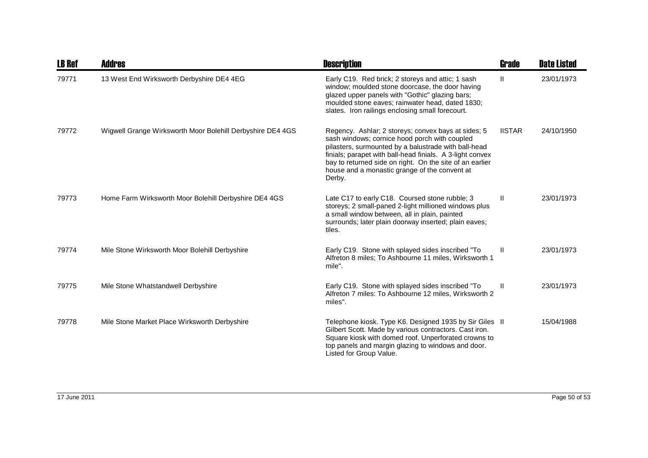| <b>LB Ref</b> | <b>Addres</b>                                              | <b>Description</b>                                                                                                                                                                                                                                                                                                                               | Grade         | <b>Date Listed</b> |
|---------------|------------------------------------------------------------|--------------------------------------------------------------------------------------------------------------------------------------------------------------------------------------------------------------------------------------------------------------------------------------------------------------------------------------------------|---------------|--------------------|
| 79771         | 13 West End Wirksworth Derbyshire DE4 4EG                  | Early C19. Red brick; 2 storeys and attic; 1 sash<br>window; moulded stone doorcase, the door having<br>glazed upper panels with "Gothic" glazing bars;<br>moulded stone eaves; rainwater head, dated 1830;<br>slates. Iron railings enclosing small forecourt.                                                                                  | H.            | 23/01/1973         |
| 79772         | Wigwell Grange Wirksworth Moor Bolehill Derbyshire DE4 4GS | Regency. Ashlar; 2 storeys; convex bays at sides; 5<br>sash windows; cornice hood porch with coupled<br>pilasters, surmounted by a balustrade with ball-head<br>finials; parapet with ball-head finials. A 3-light convex<br>bay to returned side on right. On the site of an earlier<br>house and a monastic grange of the convent at<br>Derby. | <b>IISTAR</b> | 24/10/1950         |
| 79773         | Home Farm Wirksworth Moor Bolehill Derbyshire DE4 4GS      | Late C17 to early C18. Coursed stone rubble; 3<br>storeys; 2 small-paned 2-light millioned windows plus<br>a small window between, all in plain, painted<br>surrounds; later plain doorway inserted; plain eaves;<br>tiles.                                                                                                                      | $\mathbf{I}$  | 23/01/1973         |
| 79774         | Mile Stone Wirksworth Moor Bolehill Derbyshire             | Early C19. Stone with splayed sides inscribed "To<br>Alfreton 8 miles; To Ashbourne 11 miles, Wirksworth 1<br>mile".                                                                                                                                                                                                                             | Ш             | 23/01/1973         |
| 79775         | Mile Stone Whatstandwell Derbyshire                        | Early C19. Stone with splayed sides inscribed "To<br>Alfreton 7 miles: To Ashbourne 12 miles, Wirksworth 2<br>miles".                                                                                                                                                                                                                            | Ш             | 23/01/1973         |
| 79778         | Mile Stone Market Place Wirksworth Derbyshire              | Telephone kiosk. Type K6. Designed 1935 by Sir Giles II<br>Gilbert Scott. Made by various contractors. Cast iron.<br>Square kiosk with domed roof. Unperforated crowns to<br>top panels and margin glazing to windows and door.<br>Listed for Group Value.                                                                                       |               | 15/04/1988         |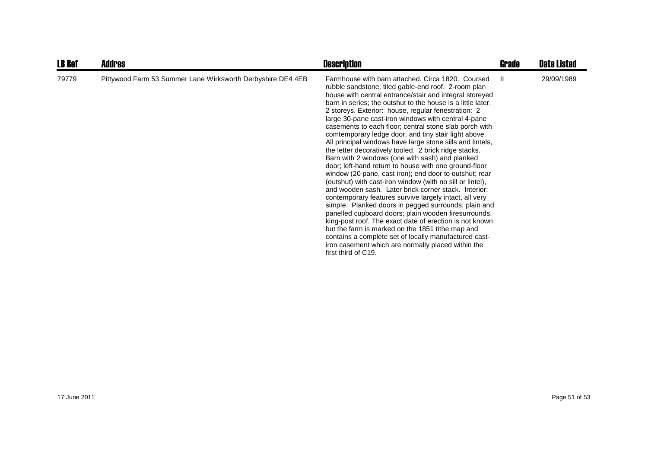| <b>LB Ref</b> | <b>Addres</b>                                               | <b>Description</b>                                                                                                                                                                                                                                                                                                                                                                                                                                                                                                                                                                                                                                                                                                                                                                                                                                                                                                                                                                                                                                                                                                                                                                                                                                                                                                 | Grade | <b>Date Listed</b> |
|---------------|-------------------------------------------------------------|--------------------------------------------------------------------------------------------------------------------------------------------------------------------------------------------------------------------------------------------------------------------------------------------------------------------------------------------------------------------------------------------------------------------------------------------------------------------------------------------------------------------------------------------------------------------------------------------------------------------------------------------------------------------------------------------------------------------------------------------------------------------------------------------------------------------------------------------------------------------------------------------------------------------------------------------------------------------------------------------------------------------------------------------------------------------------------------------------------------------------------------------------------------------------------------------------------------------------------------------------------------------------------------------------------------------|-------|--------------------|
| 79779         | Pittywood Farm 53 Summer Lane Wirksworth Derbyshire DE4 4EB | Farmhouse with barn attached. Circa 1820. Coursed<br>rubble sandstone; tiled gable-end roof. 2-room plan<br>house with central entrance/stair and integral storeyed<br>barn in series; the outshut to the house is a little later.<br>2 storeys. Exterior: house, regular fenestration: 2<br>large 30-pane cast-iron windows with central 4-pane<br>casements to each floor; central stone slab porch with<br>comtemporary ledge door, and tiny stair light above.<br>All principal windows have large stone sills and lintels,<br>the letter decoratively tooled. 2 brick ridge stacks.<br>Barn with 2 windows (one with sash) and planked<br>door; left-hand return to house with one ground-floor<br>window (20 pane, cast iron); end door to outshut; rear<br>(outshut) with cast-iron window (with no sill or lintel),<br>and wooden sash. Later brick corner stack. Interior:<br>contemporary features survive largely intact, all very<br>simple. Planked doors in pegged surrounds; plain and<br>panelled cupboard doors; plain wooden firesurrounds.<br>king-post roof. The exact date of erection is not known<br>but the farm is marked on the 1851 tithe map and<br>contains a complete set of locally manufactured cast-<br>iron casement which are normally placed within the<br>first third of C19. | H.    | 29/09/1989         |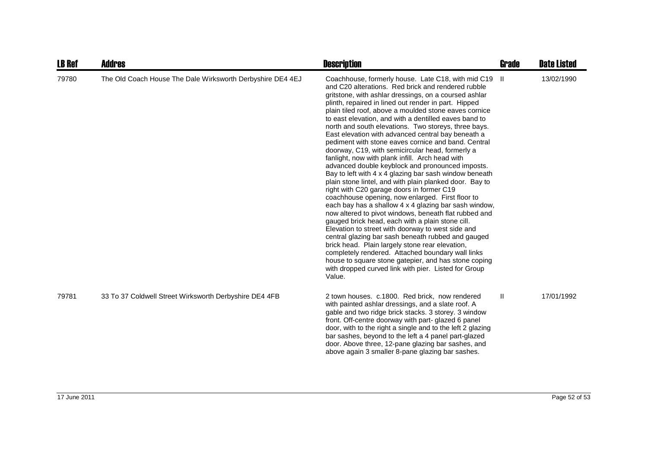| <b>LB Ref</b> | <b>Addres</b>                                              | <b>Description</b>                                                                                                                                                                                                                                                                                                                                                                                                                                                                                                                                                                                                                                                                                                                                                                                                                                                                                                                                                                                                                                                                                                                                                                                                                                                                                                                                                                                                   | <b>Grade</b> | <b>Date Listed</b> |
|---------------|------------------------------------------------------------|----------------------------------------------------------------------------------------------------------------------------------------------------------------------------------------------------------------------------------------------------------------------------------------------------------------------------------------------------------------------------------------------------------------------------------------------------------------------------------------------------------------------------------------------------------------------------------------------------------------------------------------------------------------------------------------------------------------------------------------------------------------------------------------------------------------------------------------------------------------------------------------------------------------------------------------------------------------------------------------------------------------------------------------------------------------------------------------------------------------------------------------------------------------------------------------------------------------------------------------------------------------------------------------------------------------------------------------------------------------------------------------------------------------------|--------------|--------------------|
| 79780         | The Old Coach House The Dale Wirksworth Derbyshire DE4 4EJ | Coachhouse, formerly house. Late C18, with mid C19<br>and C20 alterations. Red brick and rendered rubble<br>gritstone, with ashlar dressings, on a coursed ashlar<br>plinth, repaired in lined out render in part. Hipped<br>plain tiled roof, above a moulded stone eaves cornice<br>to east elevation, and with a dentilled eaves band to<br>north and south elevations. Two storeys, three bays.<br>East elevation with advanced central bay beneath a<br>pediment with stone eaves cornice and band. Central<br>doorway, C19, with semicircular head, formerly a<br>fanlight, now with plank infill. Arch head with<br>advanced double keyblock and pronounced imposts.<br>Bay to left with 4 x 4 glazing bar sash window beneath<br>plain stone lintel, and with plain planked door. Bay to<br>right with C20 garage doors in former C19<br>coachhouse opening, now enlarged. First floor to<br>each bay has a shallow 4 x 4 glazing bar sash window,<br>now altered to pivot windows, beneath flat rubbed and<br>gauged brick head, each with a plain stone cill.<br>Elevation to street with doorway to west side and<br>central glazing bar sash beneath rubbed and gauged<br>brick head. Plain largely stone rear elevation,<br>completely rendered. Attached boundary wall links<br>house to square stone gatepier, and has stone coping<br>with dropped curved link with pier. Listed for Group<br>Value. | -II          | 13/02/1990         |
| 79781         | 33 To 37 Coldwell Street Wirksworth Derbyshire DE4 4FB     | 2 town houses. c.1800. Red brick, now rendered<br>with painted ashlar dressings, and a slate roof. A<br>gable and two ridge brick stacks. 3 storey. 3 window<br>front. Off-centre doorway with part- glazed 6 panel<br>door, with to the right a single and to the left 2 glazing<br>bar sashes, beyond to the left a 4 panel part-glazed<br>door. Above three, 12-pane glazing bar sashes, and<br>above again 3 smaller 8-pane glazing bar sashes.                                                                                                                                                                                                                                                                                                                                                                                                                                                                                                                                                                                                                                                                                                                                                                                                                                                                                                                                                                  | Ш            | 17/01/1992         |